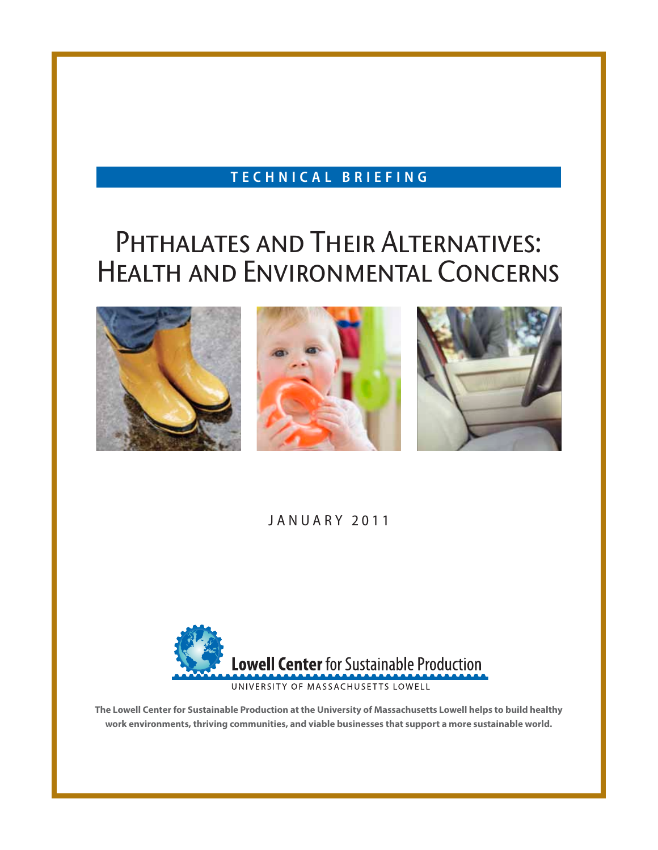#### **t e c h n i c a l b r i e f i n g**

# PHTHALATES AND THEIR ALTERNATIVES: Health and Environmental Concerns



#### JANUARY 2011



**The Lowell Center for Sustainable Production at the University of Massachusetts Lowell helps to build healthy work environments, thriving communities, and viable businesses that support a more sustainable world.**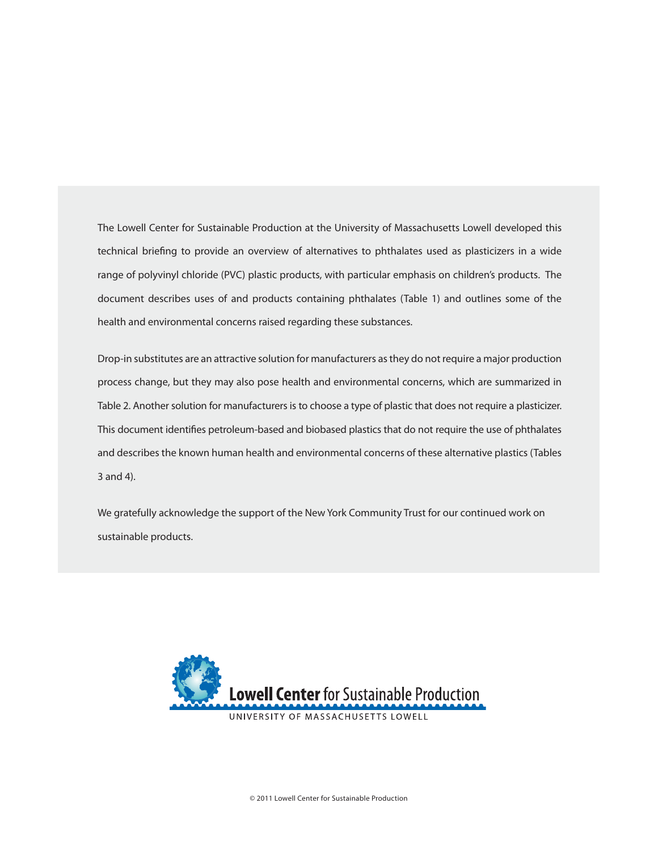The Lowell Center for Sustainable Production at the University of Massachusetts Lowell developed this technical briefing to provide an overview of alternatives to phthalates used as plasticizers in a wide range of polyvinyl chloride (PVC) plastic products, with particular emphasis on children's products. The document describes uses of and products containing phthalates (Table 1) and outlines some of the health and environmental concerns raised regarding these substances.

Drop-in substitutes are an attractive solution for manufacturers as they do not require a major production process change, but they may also pose health and environmental concerns, which are summarized in Table 2. Another solution for manufacturers is to choose a type of plastic that does not require a plasticizer. This document identifies petroleum-based and biobased plastics that do not require the use of phthalates and describes the known human health and environmental concerns of these alternative plastics (Tables 3 and 4).

We gratefully acknowledge the support of the New York Community Trust for our continued work on sustainable products.

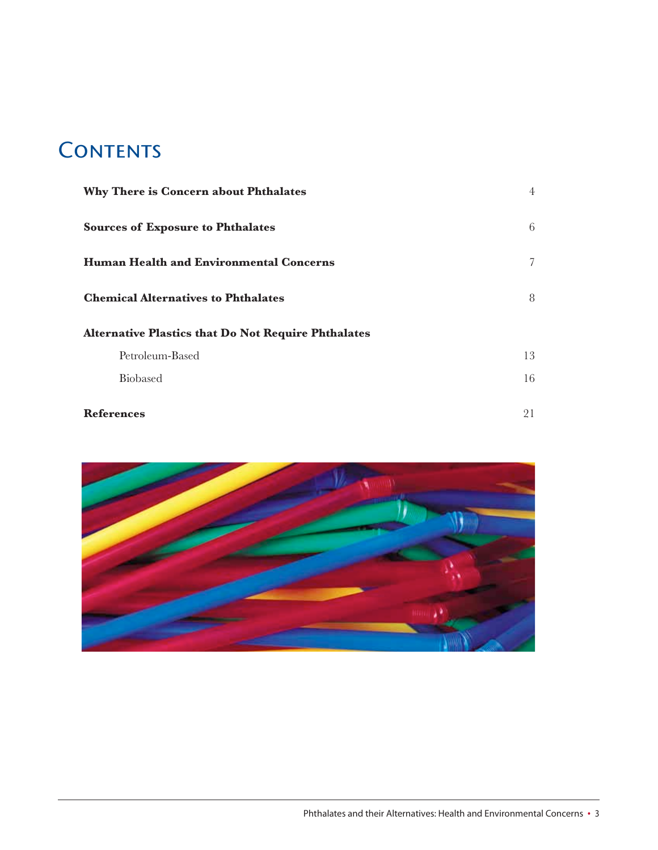# **CONTENTS**

| Why There is Concern about Phthalates                      | $\overline{4}$ |
|------------------------------------------------------------|----------------|
| <b>Sources of Exposure to Phthalates</b>                   | 6              |
| <b>Human Health and Environmental Concerns</b>             | 7              |
| <b>Chemical Alternatives to Phthalates</b>                 | 8              |
| <b>Alternative Plastics that Do Not Require Phthalates</b> |                |
| Petroleum-Based                                            | 13             |
| <b>Biobased</b>                                            | 16             |
| <b>References</b>                                          | 21             |

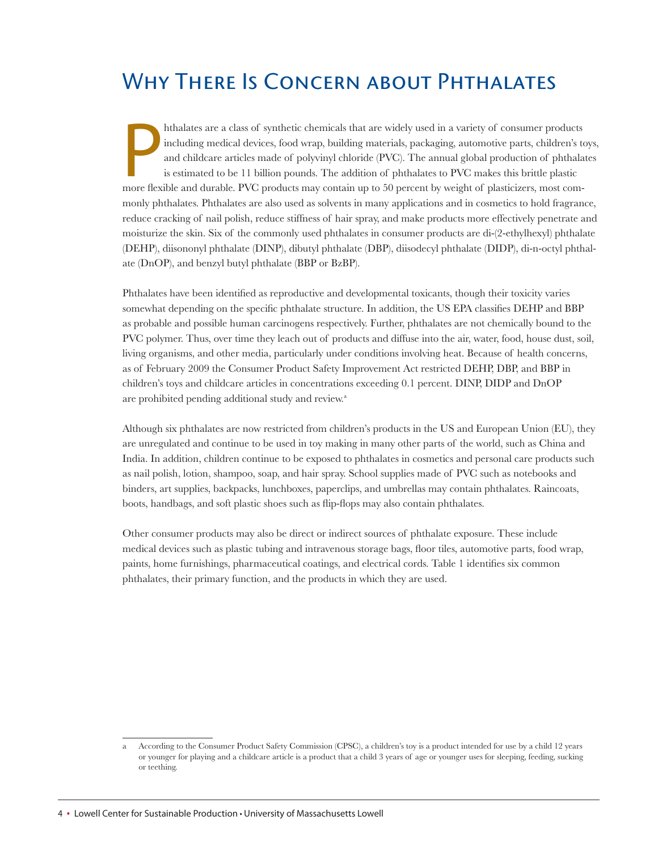# WHY THERE IS CONCERN ABOUT PHTHALATES

hthalates are a class of synthetic chemicals that are widely used in a variety of consumer products including medical devices, food wrap, building materials, packaging, automotive parts, children's to and childcare article hthalates are a class of synthetic chemicals that are widely used in a variety of consumer products including medical devices, food wrap, building materials, packaging, automotive parts, children's toys, and childcare articles made of polyvinyl chloride (PVC). The annual global production of phthalates is estimated to be 11 billion pounds. The addition of phthalates to PVC makes this brittle plastic monly phthalates. Phthalates are also used as solvents in many applications and in cosmetics to hold fragrance, reduce cracking of nail polish, reduce stiffness of hair spray, and make products more effectively penetrate and moisturize the skin. Six of the commonly used phthalates in consumer products are di-(2-ethylhexyl) phthalate (DEHP), diisononyl phthalate (DINP), dibutyl phthalate (DBP), diisodecyl phthalate (DIDP), di-n-octyl phthalate (DnOP), and benzyl butyl phthalate (BBP or BzBP).

Phthalates have been identified as reproductive and developmental toxicants, though their toxicity varies somewhat depending on the specific phthalate structure. In addition, the US EPA classifies DEHP and BBP as probable and possible human carcinogens respectively. Further, phthalates are not chemically bound to the PVC polymer. Thus, over time they leach out of products and diffuse into the air, water, food, house dust, soil, living organisms, and other media, particularly under conditions involving heat. Because of health concerns, as of February 2009 the Consumer Product Safety Improvement Act restricted DEHP, DBP, and BBP in children's toys and childcare articles in concentrations exceeding 0.1 percent. DINP, DIDP and DnOP are prohibited pending additional study and review. a

Although six phthalates are now restricted from children's products in the US and European Union (EU), they are unregulated and continue to be used in toy making in many other parts of the world, such as China and India. In addition, children continue to be exposed to phthalates in cosmetics and personal care products such as nail polish, lotion, shampoo, soap, and hair spray. School supplies made of PVC such as notebooks and binders, art supplies, backpacks, lunchboxes, paperclips, and umbrellas may contain phthalates. Raincoats, boots, handbags, and soft plastic shoes such as flip-flops may also contain phthalates.

Other consumer products may also be direct or indirect sources of phthalate exposure. These include medical devices such as plastic tubing and intravenous storage bags, floor tiles, automotive parts, food wrap, paints, home furnishings, pharmaceutical coatings, and electrical cords. Table 1 identifies six common phthalates, their primary function, and the products in which they are used.

According to the Consumer Product Safety Commission (CPSC), a children's toy is a product intended for use by a child 12 years or younger for playing and a childcare article is a product that a child 3 years of age or younger uses for sleeping, feeding, sucking or teething.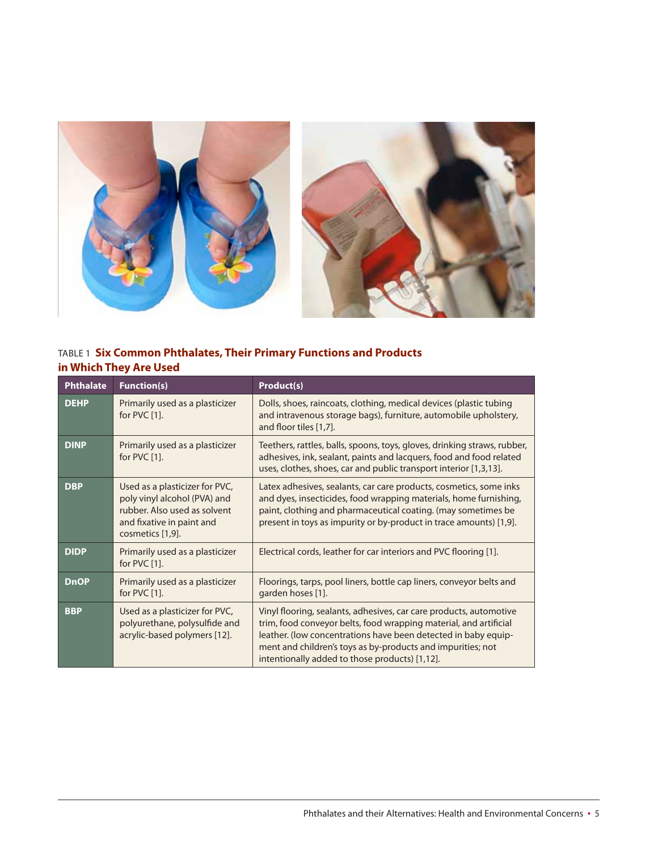

#### TAbLE 1 **Six Common Phthalates, Their Primary Functions and Products in Which They Are Used**

| <b>Phthalate</b> | <b>Function(s)</b>                                                                                                                              | Product(s)                                                                                                                                                                                                                                                                                                                 |
|------------------|-------------------------------------------------------------------------------------------------------------------------------------------------|----------------------------------------------------------------------------------------------------------------------------------------------------------------------------------------------------------------------------------------------------------------------------------------------------------------------------|
| <b>DEHP</b>      | Primarily used as a plasticizer<br>for $PVC[1]$ .                                                                                               | Dolls, shoes, raincoats, clothing, medical devices (plastic tubing<br>and intravenous storage bags), furniture, automobile upholstery,<br>and floor tiles [1,7].                                                                                                                                                           |
| <b>DINP</b>      | Primarily used as a plasticizer<br>for PVC [1].                                                                                                 | Teethers, rattles, balls, spoons, toys, gloves, drinking straws, rubber,<br>adhesives, ink, sealant, paints and lacquers, food and food related<br>uses, clothes, shoes, car and public transport interior [1,3,13].                                                                                                       |
| <b>DBP</b>       | Used as a plasticizer for PVC,<br>poly vinyl alcohol (PVA) and<br>rubber. Also used as solvent<br>and fixative in paint and<br>cosmetics [1,9]. | Latex adhesives, sealants, car care products, cosmetics, some inks<br>and dyes, insecticides, food wrapping materials, home furnishing,<br>paint, clothing and pharmaceutical coating. (may sometimes be<br>present in toys as impurity or by-product in trace amounts) [1,9].                                             |
| <b>DIDP</b>      | Primarily used as a plasticizer<br>for PVC [1].                                                                                                 | Electrical cords, leather for car interiors and PVC flooring [1].                                                                                                                                                                                                                                                          |
| <b>DnOP</b>      | Primarily used as a plasticizer<br>for PVC [1].                                                                                                 | Floorings, tarps, pool liners, bottle cap liners, conveyor belts and<br>garden hoses [1].                                                                                                                                                                                                                                  |
| <b>BBP</b>       | Used as a plasticizer for PVC,<br>polyurethane, polysulfide and<br>acrylic-based polymers [12].                                                 | Vinyl flooring, sealants, adhesives, car care products, automotive<br>trim, food conveyor belts, food wrapping material, and artificial<br>leather. (low concentrations have been detected in baby equip-<br>ment and children's toys as by-products and impurities; not<br>intentionally added to those products) [1,12]. |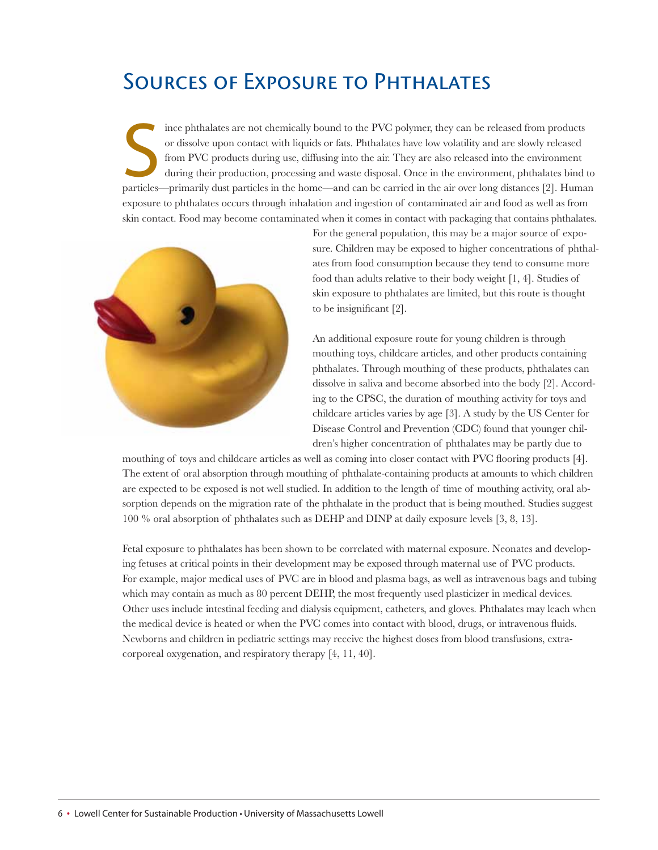## Sources of Exposure to Phthalates

Ince phthalates are not chemically bound to the PVC polymer, they can be released from products or dissolve upon contact with liquids or fats. Phthalates have low volatility and are slowly released from PVC products during ince phthalates are not chemically bound to the PVC polymer, they can be released from products or dissolve upon contact with liquids or fats. Phthalates have low volatility and are slowly released from PVC products during use, diffusing into the air. They are also released into the environment during their production, processing and waste disposal. Once in the environment, phthalates bind to exposure to phthalates occurs through inhalation and ingestion of contaminated air and food as well as from skin contact. Food may become contaminated when it comes in contact with packaging that contains phthalates.



For the general population, this may be a major source of exposure. Children may be exposed to higher concentrations of phthalates from food consumption because they tend to consume more food than adults relative to their body weight [1, 4]. Studies of skin exposure to phthalates are limited, but this route is thought to be insignificant [2].

An additional exposure route for young children is through mouthing toys, childcare articles, and other products containing phthalates. Through mouthing of these products, phthalates can dissolve in saliva and become absorbed into the body [2]. According to the CPSC, the duration of mouthing activity for toys and childcare articles varies by age [3]. A study by the US Center for Disease Control and Prevention (CDC) found that younger children's higher concentration of phthalates may be partly due to

mouthing of toys and childcare articles as well as coming into closer contact with PVC flooring products [4]. The extent of oral absorption through mouthing of phthalate-containing products at amounts to which children are expected to be exposed is not well studied. In addition to the length of time of mouthing activity, oral absorption depends on the migration rate of the phthalate in the product that is being mouthed. Studies suggest 100 % oral absorption of phthalates such as DEHP and DINP at daily exposure levels [3, 8, 13].

Fetal exposure to phthalates has been shown to be correlated with maternal exposure. Neonates and developing fetuses at critical points in their development may be exposed through maternal use of PVC products. For example, major medical uses of PVC are in blood and plasma bags, as well as intravenous bags and tubing which may contain as much as 80 percent DEHP, the most frequently used plasticizer in medical devices. Other uses include intestinal feeding and dialysis equipment, catheters, and gloves. Phthalates may leach when the medical device is heated or when the PVC comes into contact with blood, drugs, or intravenous fluids. Newborns and children in pediatric settings may receive the highest doses from blood transfusions, extra corporeal oxygenation, and respiratory therapy [4, 11, 40].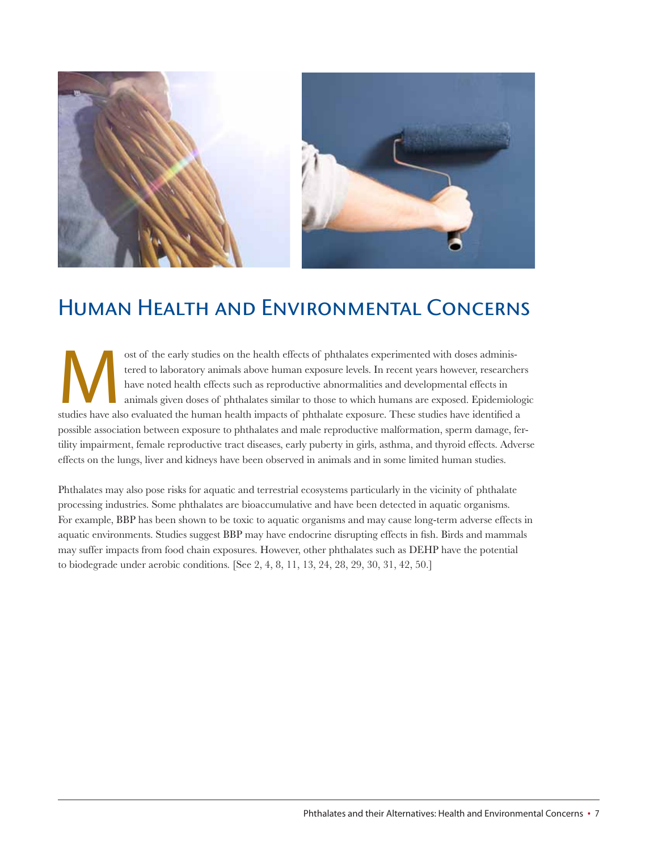

## Human Health and Environmental Concerns

ost of the early studies on the health effects of phthalates experimented with doses adminis-<br>tered to laboratory animals above human exposure levels. In recent years however, researche<br>have noted health effects such as re tered to laboratory animals above human exposure levels. In recent years however, researchers have noted health effects such as reproductive abnormalities and developmental effects in animals given doses of phthalates similar to those to which humans are exposed. Epidemiologic possible association between exposure to phthalates and male reproductive malformation, sperm damage, fertility impairment, female reproductive tract diseases, early puberty in girls, asthma, and thyroid effects. Adverse effects on the lungs, liver and kidneys have been observed in animals and in some limited human studies.

Phthalates may also pose risks for aquatic and terrestrial ecosystems particularly in the vicinity of phthalate processing industries. Some phthalates are bioaccumulative and have been detected in aquatic organisms. For example, BBP has been shown to be toxic to aquatic organisms and may cause long-term adverse effects in aquatic environments. Studies suggest BBP may have endocrine disrupting effects in fish. Birds and mammals may suffer impacts from food chain exposures. However, other phthalates such as DEHP have the potential to biodegrade under aerobic conditions. [See 2, 4, 8, 11, 13, 24, 28, 29, 30, 31, 42, 50.]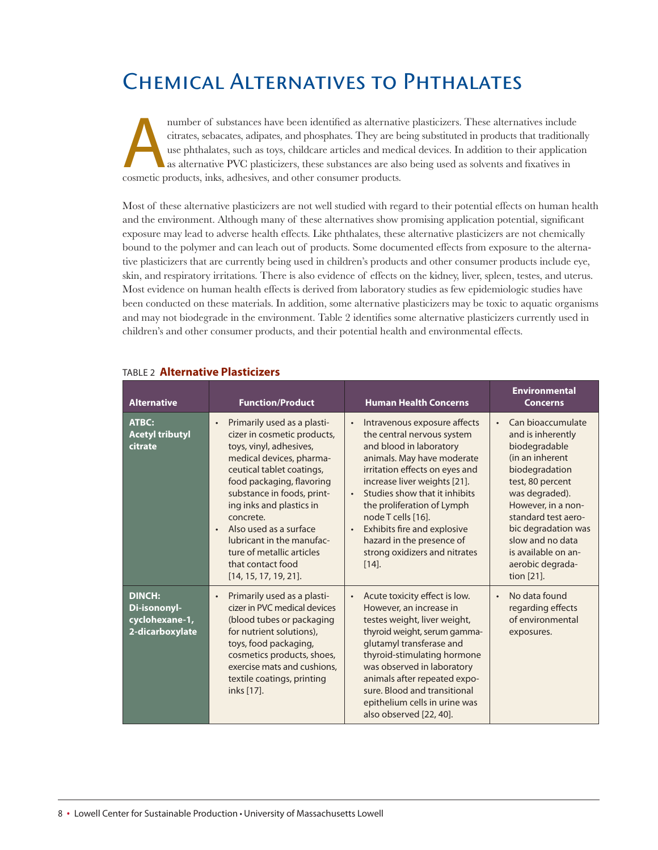# Chemical Alternatives to Phthalates

number of substances have been identified as alternative plasticizers. These alternatives include citrates, sebacates, adipates, and phosphates. They are being substituted in products that traditions use phthalates, such a citrates, sebacates, adipates, and phosphates. They are being substituted in products that traditionally use phthalates, such as toys, childcare articles and medical devices. In addition to their application as alternative PVC plasticizers, these substances are also being used as solvents and fixatives in cosmetic products, inks, adhesives, and other consumer products.

Most of these alternative plasticizers are not well studied with regard to their potential effects on human health and the environment. Although many of these alternatives show promising application potential, significant exposure may lead to adverse health effects. Like phthalates, these alternative plasticizers are not chemically bound to the polymer and can leach out of products. Some documented effects from exposure to the alternative plasticizers that are currently being used in children's products and other consumer products include eye, skin, and respiratory irritations. There is also evidence of effects on the kidney, liver, spleen, testes, and uterus. Most evidence on human health effects is derived from laboratory studies as few epidemiologic studies have been conducted on these materials. In addition, some alternative plasticizers may be toxic to aquatic organisms and may not biodegrade in the environment. Table 2 identifies some alternative plasticizers currently used in children's and other consumer products, and their potential health and environmental effects.

| <b>Alternative</b>                                                 | <b>Function/Product</b>                                                                                                                                                                                                                                                                                                                                                                                           | <b>Human Health Concerns</b>                                                                                                                                                                                                                                                                                                                                                                     | <b>Environmental</b><br><b>Concerns</b>                                                                                                                                                                                                                                             |
|--------------------------------------------------------------------|-------------------------------------------------------------------------------------------------------------------------------------------------------------------------------------------------------------------------------------------------------------------------------------------------------------------------------------------------------------------------------------------------------------------|--------------------------------------------------------------------------------------------------------------------------------------------------------------------------------------------------------------------------------------------------------------------------------------------------------------------------------------------------------------------------------------------------|-------------------------------------------------------------------------------------------------------------------------------------------------------------------------------------------------------------------------------------------------------------------------------------|
| <b>ATBC:</b><br><b>Acetyl tributyl</b><br>citrate                  | Primarily used as a plasti-<br>$\bullet$<br>cizer in cosmetic products,<br>toys, vinyl, adhesives,<br>medical devices, pharma-<br>ceutical tablet coatings,<br>food packaging, flavoring<br>substance in foods, print-<br>ing inks and plastics in<br>concrete.<br>Also used as a surface<br>$\bullet$<br>lubricant in the manufac-<br>ture of metallic articles<br>that contact food<br>$[14, 15, 17, 19, 21]$ . | Intravenous exposure affects<br>the central nervous system<br>and blood in laboratory<br>animals. May have moderate<br>irritation effects on eyes and<br>increase liver weights [21].<br>Studies show that it inhibits<br>$\bullet$<br>the proliferation of Lymph<br>node T cells [16].<br>Exhibits fire and explosive<br>hazard in the presence of<br>strong oxidizers and nitrates<br>$[14]$ . | Can bioaccumulate<br>and is inherently<br>biodegradable<br>(in an inherent<br>biodegradation<br>test, 80 percent<br>was degraded).<br>However, in a non-<br>standard test aero-<br>bic degradation was<br>slow and no data<br>is available on an-<br>aerobic degrada-<br>tion [21]. |
| <b>DINCH:</b><br>Di-isononyl-<br>cyclohexane-1,<br>2-dicarboxylate | Primarily used as a plasti-<br>$\bullet$<br>cizer in PVC medical devices<br>(blood tubes or packaging<br>for nutrient solutions),<br>toys, food packaging,<br>cosmetics products, shoes,<br>exercise mats and cushions,<br>textile coatings, printing<br>inks [17].                                                                                                                                               | Acute toxicity effect is low.<br>However, an increase in<br>testes weight, liver weight,<br>thyroid weight, serum gamma-<br>glutamyl transferase and<br>thyroid-stimulating hormone<br>was observed in laboratory<br>animals after repeated expo-<br>sure. Blood and transitional<br>epithelium cells in urine was<br>also observed [22, 40].                                                    | No data found<br>$\bullet$<br>regarding effects<br>of environmental<br>exposures.                                                                                                                                                                                                   |

#### TAbLE 2 **Alternative Plasticizers**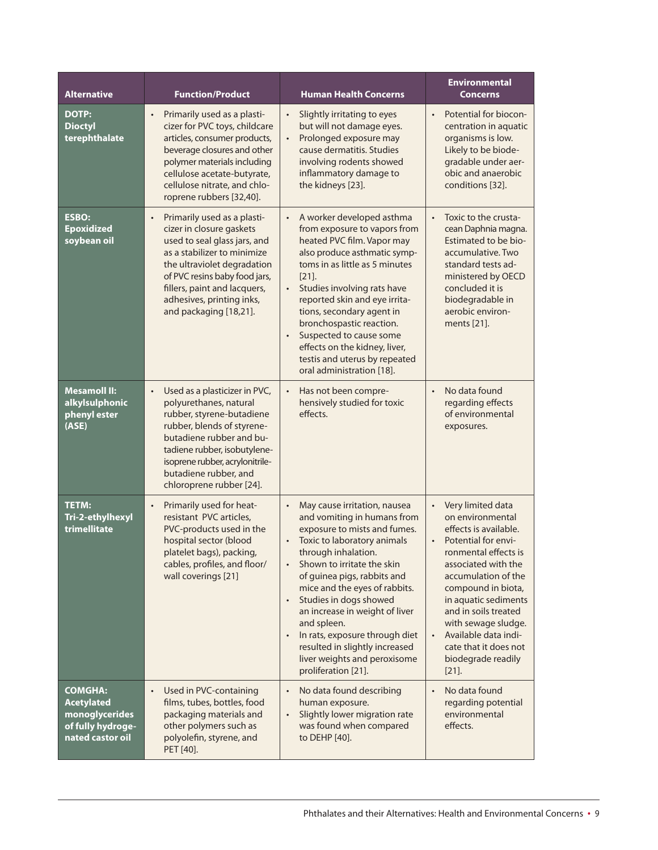| <b>Alternative</b>                                                                             | <b>Function/Product</b>                                                                                                                                                                                                                                                                    | <b>Human Health Concerns</b>                                                                                                                                                                                                                                                                                                                                                                                                                                                                              | <b>Environmental</b><br><b>Concerns</b>                                                                                                                                                                                                                                                                                                                               |
|------------------------------------------------------------------------------------------------|--------------------------------------------------------------------------------------------------------------------------------------------------------------------------------------------------------------------------------------------------------------------------------------------|-----------------------------------------------------------------------------------------------------------------------------------------------------------------------------------------------------------------------------------------------------------------------------------------------------------------------------------------------------------------------------------------------------------------------------------------------------------------------------------------------------------|-----------------------------------------------------------------------------------------------------------------------------------------------------------------------------------------------------------------------------------------------------------------------------------------------------------------------------------------------------------------------|
| <b>DOTP:</b><br><b>Dioctyl</b><br>terephthalate                                                | Primarily used as a plasti-<br>$\bullet$<br>cizer for PVC toys, childcare<br>articles, consumer products,<br>beverage closures and other<br>polymer materials including<br>cellulose acetate-butyrate,<br>cellulose nitrate, and chlo-<br>roprene rubbers [32,40].                         | Slightly irritating to eyes<br>$\bullet$<br>but will not damage eyes.<br>Prolonged exposure may<br>$\bullet$<br>cause dermatitis. Studies<br>involving rodents showed<br>inflammatory damage to<br>the kidneys [23].                                                                                                                                                                                                                                                                                      | Potential for biocon-<br>$\bullet$<br>centration in aquatic<br>organisms is low.<br>Likely to be biode-<br>gradable under aer-<br>obic and anaerobic<br>conditions [32].                                                                                                                                                                                              |
| <b>ESBO:</b><br><b>Epoxidized</b><br>soybean oil                                               | Primarily used as a plasti-<br>$\bullet$<br>cizer in closure gaskets<br>used to seal glass jars, and<br>as a stabilizer to minimize<br>the ultraviolet degradation<br>of PVC resins baby food jars,<br>fillers, paint and lacquers,<br>adhesives, printing inks,<br>and packaging [18,21]. | A worker developed asthma<br>$\bullet$<br>from exposure to vapors from<br>heated PVC film. Vapor may<br>also produce asthmatic symp-<br>toms in as little as 5 minutes<br>$[21]$ .<br>Studies involving rats have<br>$\bullet$<br>reported skin and eye irrita-<br>tions, secondary agent in<br>bronchospastic reaction.<br>Suspected to cause some<br>$\bullet$<br>effects on the kidney, liver,<br>testis and uterus by repeated<br>oral administration [18].                                           | Toxic to the crusta-<br>$\bullet$<br>cean Daphnia magna.<br>Estimated to be bio-<br>accumulative. Two<br>standard tests ad-<br>ministered by OECD<br>concluded it is<br>biodegradable in<br>aerobic environ-<br>ments [21].                                                                                                                                           |
| <b>Mesamoll II:</b><br>alkylsulphonic<br>phenyl ester<br>(ASE)                                 | Used as a plasticizer in PVC,<br>$\bullet$<br>polyurethanes, natural<br>rubber, styrene-butadiene<br>rubber, blends of styrene-<br>butadiene rubber and bu-<br>tadiene rubber, isobutylene-<br>isoprene rubber, acrylonitrile-<br>butadiene rubber, and<br>chloroprene rubber [24].        | $\bullet$<br>Has not been compre-<br>hensively studied for toxic<br>effects.                                                                                                                                                                                                                                                                                                                                                                                                                              | No data found<br>$\bullet$<br>regarding effects<br>of environmental<br>exposures.                                                                                                                                                                                                                                                                                     |
| <b>TETM:</b><br>Tri-2-ethylhexyl<br>trimellitate                                               | Primarily used for heat-<br>$\bullet$<br>resistant PVC articles,<br>PVC-products used in the<br>hospital sector (blood<br>platelet bags), packing,<br>cables, profiles, and floor/<br>wall coverings [21]                                                                                  | May cause irritation, nausea<br>$\bullet$<br>and vomiting in humans from<br>exposure to mists and fumes.<br>Toxic to laboratory animals<br>through inhalation.<br>Shown to irritate the skin<br>$\bullet$<br>of guinea pigs, rabbits and<br>mice and the eyes of rabbits.<br>Studies in dogs showed<br>$\bullet$<br>an increase in weight of liver<br>and spleen.<br>In rats, exposure through diet<br>$\bullet$<br>resulted in slightly increased<br>liver weights and peroxisome<br>proliferation [21]. | Very limited data<br>$\bullet$<br>on environmental<br>effects is available.<br>Potential for envi-<br>ronmental effects is<br>associated with the<br>accumulation of the<br>compound in biota,<br>in aquatic sediments<br>and in soils treated<br>with sewage sludge.<br>Available data indi-<br>$\bullet$<br>cate that it does not<br>biodegrade readily<br>$[21]$ . |
| <b>COMGHA:</b><br><b>Acetylated</b><br>monoglycerides<br>of fully hydroge-<br>nated castor oil | Used in PVC-containing<br>$\bullet$<br>films, tubes, bottles, food<br>packaging materials and<br>other polymers such as<br>polyolefin, styrene, and<br>PET [40].                                                                                                                           | No data found describing<br>human exposure.<br>Slightly lower migration rate<br>$\bullet$<br>was found when compared<br>to DEHP [40].                                                                                                                                                                                                                                                                                                                                                                     | No data found<br>regarding potential<br>environmental<br>effects.                                                                                                                                                                                                                                                                                                     |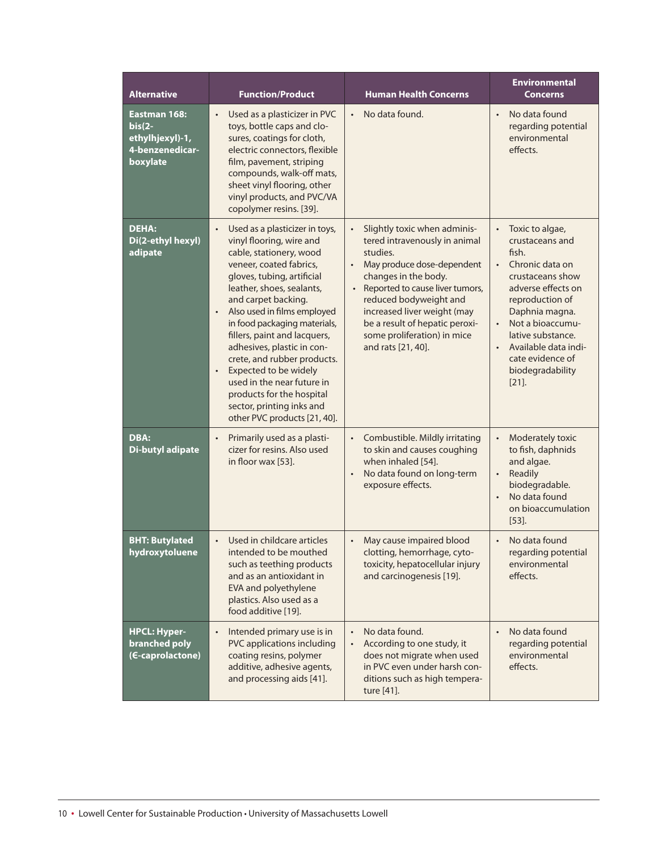| <b>Alternative</b>                                                          | <b>Function/Product</b>                                                                                                                                                                                                                                                                                                                                                                                                                                                                                                                                | <b>Human Health Concerns</b>                                                                                                                                                                                                                                                                                                                              | <b>Environmental</b><br><b>Concerns</b>                                                                                                                                                                                                                                         |
|-----------------------------------------------------------------------------|--------------------------------------------------------------------------------------------------------------------------------------------------------------------------------------------------------------------------------------------------------------------------------------------------------------------------------------------------------------------------------------------------------------------------------------------------------------------------------------------------------------------------------------------------------|-----------------------------------------------------------------------------------------------------------------------------------------------------------------------------------------------------------------------------------------------------------------------------------------------------------------------------------------------------------|---------------------------------------------------------------------------------------------------------------------------------------------------------------------------------------------------------------------------------------------------------------------------------|
| Eastman 168:<br>$bis(2-)$<br>ethylhjexyl)-1,<br>4-benzenedicar-<br>boxylate | Used as a plasticizer in PVC<br>$\bullet$<br>toys, bottle caps and clo-<br>sures, coatings for cloth,<br>electric connectors, flexible<br>film, pavement, striping<br>compounds, walk-off mats,<br>sheet vinyl flooring, other<br>vinyl products, and PVC/VA<br>copolymer resins. [39].                                                                                                                                                                                                                                                                | No data found.<br>$\bullet$                                                                                                                                                                                                                                                                                                                               | No data found<br>$\bullet$<br>regarding potential<br>environmental<br>effects.                                                                                                                                                                                                  |
| <b>DEHA:</b><br>Di(2-ethyl hexyl)<br>adipate                                | Used as a plasticizer in toys,<br>$\bullet$<br>vinyl flooring, wire and<br>cable, stationery, wood<br>veneer, coated fabrics,<br>gloves, tubing, artificial<br>leather, shoes, sealants,<br>and carpet backing.<br>Also used in films employed<br>$\bullet$<br>in food packaging materials,<br>fillers, paint and lacquers,<br>adhesives, plastic in con-<br>crete, and rubber products.<br>Expected to be widely<br>$\bullet$<br>used in the near future in<br>products for the hospital<br>sector, printing inks and<br>other PVC products [21, 40]. | Slightly toxic when adminis-<br>$\bullet$<br>tered intravenously in animal<br>studies.<br>May produce dose-dependent<br>$\bullet$<br>changes in the body.<br>Reported to cause liver tumors,<br>$\bullet$<br>reduced bodyweight and<br>increased liver weight (may<br>be a result of hepatic peroxi-<br>some proliferation) in mice<br>and rats [21, 40]. | Toxic to algae,<br>$\bullet$<br>crustaceans and<br>fish.<br>Chronic data on<br>crustaceans show<br>adverse effects on<br>reproduction of<br>Daphnia magna.<br>Not a bioaccumu-<br>lative substance.<br>Available data indi-<br>cate evidence of<br>biodegradability<br>$[21]$ . |
| DBA:<br><b>Di-butyl adipate</b>                                             | Primarily used as a plasti-<br>$\bullet$<br>cizer for resins. Also used<br>in floor wax [53].                                                                                                                                                                                                                                                                                                                                                                                                                                                          | Combustible. Mildly irritating<br>to skin and causes coughing<br>when inhaled [54].<br>No data found on long-term<br>$\bullet$<br>exposure effects.                                                                                                                                                                                                       | Moderately toxic<br>to fish, daphnids<br>and algae.<br>Readily<br>$\bullet$<br>biodegradable.<br>No data found<br>$\bullet$<br>on bioaccumulation<br>$[53]$ .                                                                                                                   |
| <b>BHT: Butylated</b><br>hydroxytoluene                                     | Used in childcare articles<br>intended to be mouthed<br>such as teething products<br>and as an antioxidant in<br>EVA and polyethylene<br>plastics. Also used as a<br>food additive [19].                                                                                                                                                                                                                                                                                                                                                               | May cause impaired blood<br>clotting, hemorrhage, cyto-<br>toxicity, hepatocellular injury<br>and carcinogenesis [19].                                                                                                                                                                                                                                    | No data found<br>regarding potential<br>environmental<br>effects.                                                                                                                                                                                                               |
| <b>HPCL: Hyper-</b><br>branched poly<br>(E-caprolactone)                    | Intended primary use is in<br>$\bullet$<br>PVC applications including<br>coating resins, polymer<br>additive, adhesive agents,<br>and processing aids [41].                                                                                                                                                                                                                                                                                                                                                                                            | No data found.<br>According to one study, it<br>$\bullet$<br>does not migrate when used<br>in PVC even under harsh con-<br>ditions such as high tempera-<br>ture [41].                                                                                                                                                                                    | No data found<br>regarding potential<br>environmental<br>effects.                                                                                                                                                                                                               |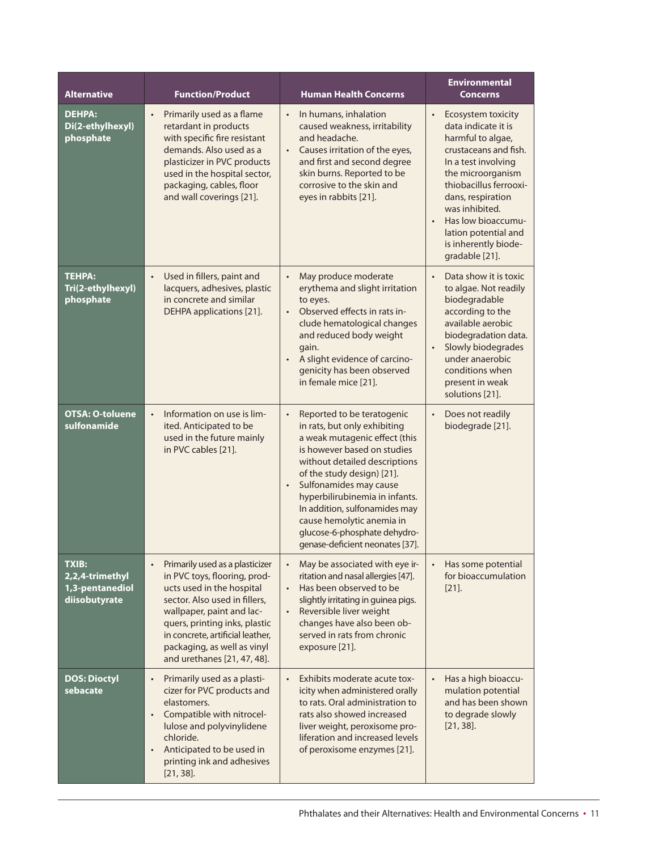| <b>Alternative</b>                                                  | <b>Function/Product</b>                                                                                                                                                                                                                                                                                    | <b>Human Health Concerns</b>                                                                                                                                                                                                                                                                                                                                                                                     | <b>Environmental</b><br><b>Concerns</b>                                                                                                                                                                                                                                                                   |
|---------------------------------------------------------------------|------------------------------------------------------------------------------------------------------------------------------------------------------------------------------------------------------------------------------------------------------------------------------------------------------------|------------------------------------------------------------------------------------------------------------------------------------------------------------------------------------------------------------------------------------------------------------------------------------------------------------------------------------------------------------------------------------------------------------------|-----------------------------------------------------------------------------------------------------------------------------------------------------------------------------------------------------------------------------------------------------------------------------------------------------------|
| <b>DEHPA:</b><br>Di(2-ethylhexyl)<br>phosphate                      | Primarily used as a flame<br>$\bullet$<br>retardant in products<br>with specific fire resistant<br>demands. Also used as a<br>plasticizer in PVC products<br>used in the hospital sector,<br>packaging, cables, floor<br>and wall coverings [21].                                                          | In humans, inhalation<br>$\bullet$<br>caused weakness, irritability<br>and headache.<br>Causes irritation of the eyes,<br>$\bullet$<br>and first and second degree<br>skin burns. Reported to be<br>corrosive to the skin and<br>eyes in rabbits [21].                                                                                                                                                           | Ecosystem toxicity<br>$\bullet$<br>data indicate it is<br>harmful to algae,<br>crustaceans and fish.<br>In a test involving<br>the microorganism<br>thiobacillus ferrooxi-<br>dans, respiration<br>was inhibited.<br>Has low bioaccumu-<br>lation potential and<br>is inherently biode-<br>gradable [21]. |
| <b>TEHPA:</b><br>Tri(2-ethylhexyl)<br>phosphate                     | Used in fillers, paint and<br>$\bullet$<br>lacquers, adhesives, plastic<br>in concrete and similar<br>DEHPA applications [21].                                                                                                                                                                             | May produce moderate<br>$\bullet$<br>erythema and slight irritation<br>to eyes.<br>Observed effects in rats in-<br>$\bullet$<br>clude hematological changes<br>and reduced body weight<br>gain.<br>A slight evidence of carcino-<br>$\bullet$<br>genicity has been observed<br>in female mice [21].                                                                                                              | Data show it is toxic<br>to algae. Not readily<br>biodegradable<br>according to the<br>available aerobic<br>biodegradation data.<br>Slowly biodegrades<br>under anaerobic<br>conditions when<br>present in weak<br>solutions [21].                                                                        |
| <b>OTSA: O-toluene</b><br>sulfonamide                               | Information on use is lim-<br>$\bullet$<br>ited. Anticipated to be<br>used in the future mainly<br>in PVC cables [21].                                                                                                                                                                                     | Reported to be teratogenic<br>$\bullet$<br>in rats, but only exhibiting<br>a weak mutagenic effect (this<br>is however based on studies<br>without detailed descriptions<br>of the study design) [21].<br>Sulfonamides may cause<br>$\bullet$<br>hyperbilirubinemia in infants.<br>In addition, sulfonamides may<br>cause hemolytic anemia in<br>glucose-6-phosphate dehydro-<br>genase-deficient neonates [37]. | Does not readily<br>biodegrade [21].                                                                                                                                                                                                                                                                      |
| <b>TXIB:</b><br>2,2,4-trimethyl<br>1,3-pentanediol<br>diisobutyrate | Primarily used as a plasticizer<br>$\bullet$<br>in PVC toys, flooring, prod-<br>ucts used in the hospital<br>sector. Also used in fillers,<br>wallpaper, paint and lac-<br>quers, printing inks, plastic<br>in concrete, artificial leather,<br>packaging, as well as vinyl<br>and urethanes [21, 47, 48]. | May be associated with eye ir-<br>$\bullet$<br>ritation and nasal allergies [47].<br>Has been observed to be<br>$\bullet$<br>slightly irritating in guinea pigs.<br>Reversible liver weight<br>$\bullet$<br>changes have also been ob-<br>served in rats from chronic<br>exposure [21].                                                                                                                          | Has some potential<br>$\bullet$<br>for bioaccumulation<br>$[21]$ .                                                                                                                                                                                                                                        |
| <b>DOS: Dioctyl</b><br>sebacate                                     | Primarily used as a plasti-<br>$\bullet$<br>cizer for PVC products and<br>elastomers.<br>Compatible with nitrocel-<br>$\bullet$<br>lulose and polyvinylidene<br>chloride.<br>Anticipated to be used in<br>$\bullet$<br>printing ink and adhesives<br>$[21, 38]$ .                                          | Exhibits moderate acute tox-<br>$\bullet$<br>icity when administered orally<br>to rats. Oral administration to<br>rats also showed increased<br>liver weight, peroxisome pro-<br>liferation and increased levels<br>of peroxisome enzymes [21].                                                                                                                                                                  | Has a high bioaccu-<br>mulation potential<br>and has been shown<br>to degrade slowly<br>$[21, 38]$ .                                                                                                                                                                                                      |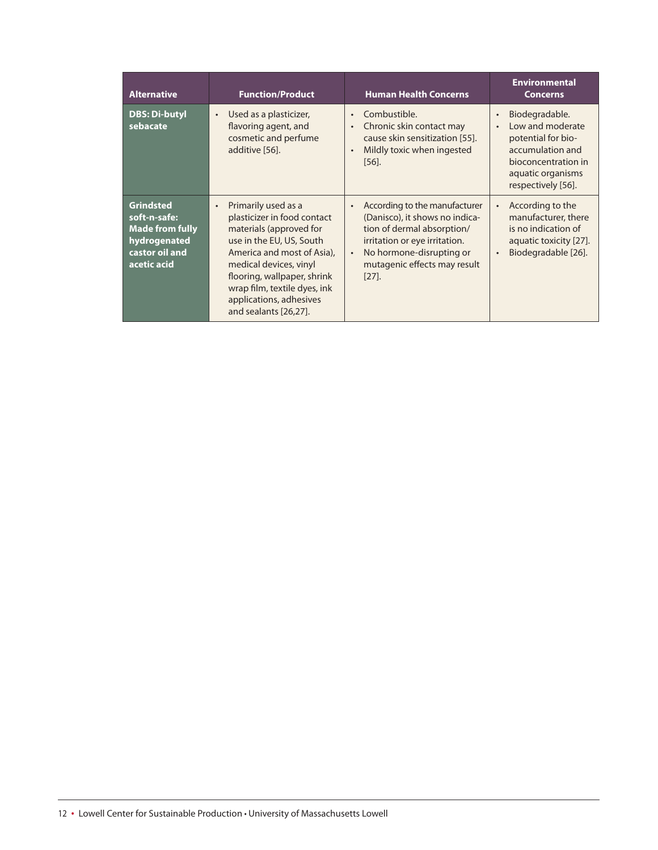| <b>Alternative</b>                                                                                          | <b>Function/Product</b>                                                                                                                                                                                                                                                                           | <b>Human Health Concerns</b>                                                                                                                                                                                                     | <b>Environmental</b><br><b>Concerns</b>                                                                                                        |
|-------------------------------------------------------------------------------------------------------------|---------------------------------------------------------------------------------------------------------------------------------------------------------------------------------------------------------------------------------------------------------------------------------------------------|----------------------------------------------------------------------------------------------------------------------------------------------------------------------------------------------------------------------------------|------------------------------------------------------------------------------------------------------------------------------------------------|
| <b>DBS: Di-butyl</b><br>sebacate                                                                            | Used as a plasticizer,<br>$\bullet$<br>flavoring agent, and<br>cosmetic and perfume<br>additive [56].                                                                                                                                                                                             | Combustible.<br>$\bullet$<br>Chronic skin contact may<br>$\bullet$<br>cause skin sensitization [55].<br>Mildly toxic when ingested<br>$\bullet$<br>$[56]$ .                                                                      | Biodegradable.<br>Low and moderate<br>potential for bio-<br>accumulation and<br>bioconcentration in<br>aquatic organisms<br>respectively [56]. |
| <b>Grindsted</b><br>soft-n-safe:<br><b>Made from fully</b><br>hydrogenated<br>castor oil and<br>acetic acid | Primarily used as a<br>$\bullet$<br>plasticizer in food contact<br>materials (approved for<br>use in the EU, US, South<br>America and most of Asia),<br>medical devices, vinyl<br>flooring, wallpaper, shrink<br>wrap film, textile dyes, ink<br>applications, adhesives<br>and sealants [26,27]. | According to the manufacturer<br>$\bullet$<br>(Danisco), it shows no indica-<br>tion of dermal absorption/<br>irritation or eye irritation.<br>No hormone-disrupting or<br>$\bullet$<br>mutagenic effects may result<br>$[27]$ . | According to the<br>manufacturer, there<br>is no indication of<br>aquatic toxicity [27].<br>Biodegradable [26].                                |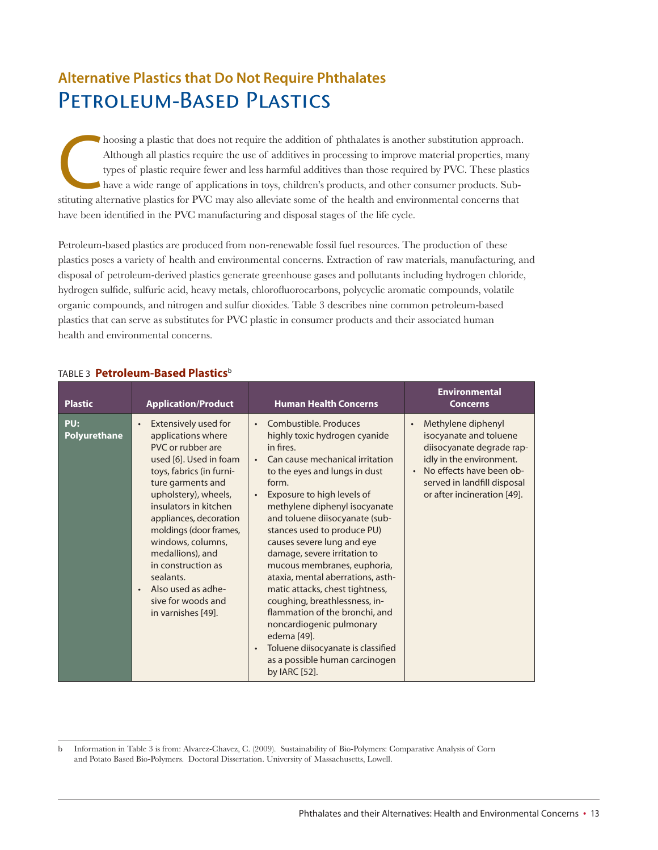### **Alternative Plastics that Do Not Require Phthalates** PETROLEUM-BASED PLASTICS

hoosing a plastic that does not require the addition of phthalates is another substitution approach. Although all plastics require the use of additives in processing to improve material properties, may types of plastic req hoosing a plastic that does not require the addition of phthalates is another substitution approach. Although all plastics require the use of additives in processing to improve material properties, many types of plastic require fewer and less harmful additives than those required by PVC. These plastics have a wide range of applications in toys, children's products, and other consumer products. Subhave been identified in the PVC manufacturing and disposal stages of the life cycle.

Petroleum-based plastics are produced from non-renewable fossil fuel resources. The production of these plastics poses a variety of health and environmental concerns. Extraction of raw materials, manufacturing, and disposal of petroleum-derived plastics generate greenhouse gases and pollutants including hydrogen chloride, hydrogen sulfide, sulfuric acid, heavy metals, chlorofluorocarbons, polycyclic aromatic compounds, volatile organic compounds, and nitrogen and sulfur dioxides. Table 3 describes nine common petroleum-based plastics that can serve as substitutes for PVC plastic in consumer products and their associated human health and environmental concerns.

| <b>Plastic</b>      | <b>Application/Product</b>                                                                                                                                                                                                                                                                                                                                                                    | <b>Human Health Concerns</b>                                                                                                                                                                                                                                                                                                                                                                                                                                                                                                                                                                                                                                              | <b>Environmental</b><br><b>Concerns</b>                                                                                                                                                                                   |
|---------------------|-----------------------------------------------------------------------------------------------------------------------------------------------------------------------------------------------------------------------------------------------------------------------------------------------------------------------------------------------------------------------------------------------|---------------------------------------------------------------------------------------------------------------------------------------------------------------------------------------------------------------------------------------------------------------------------------------------------------------------------------------------------------------------------------------------------------------------------------------------------------------------------------------------------------------------------------------------------------------------------------------------------------------------------------------------------------------------------|---------------------------------------------------------------------------------------------------------------------------------------------------------------------------------------------------------------------------|
| PU:<br>Polyurethane | Extensively used for<br>applications where<br>PVC or rubber are<br>used [6]. Used in foam<br>toys, fabrics (in furni-<br>ture garments and<br>upholstery), wheels,<br>insulators in kitchen<br>appliances, decoration<br>moldings (door frames,<br>windows, columns,<br>medallions), and<br>in construction as<br>sealants.<br>Also used as adhe-<br>sive for woods and<br>in varnishes [49]. | Combustible, Produces<br>$\bullet$<br>highly toxic hydrogen cyanide<br>in fires.<br>Can cause mechanical irritation<br>to the eyes and lungs in dust<br>form.<br>Exposure to high levels of<br>methylene diphenyl isocyanate<br>and toluene diisocyanate (sub-<br>stances used to produce PU)<br>causes severe lung and eye<br>damage, severe irritation to<br>mucous membranes, euphoria,<br>ataxia, mental aberrations, asth-<br>matic attacks, chest tightness,<br>coughing, breathlessness, in-<br>flammation of the bronchi, and<br>noncardiogenic pulmonary<br>edema [49].<br>Toluene diisocyanate is classified<br>as a possible human carcinogen<br>by IARC [52]. | Methylene diphenyl<br>$\bullet$<br>isocyanate and toluene<br>diisocyanate degrade rap-<br>idly in the environment.<br>No effects have been ob-<br>$\bullet$<br>served in landfill disposal<br>or after incineration [49]. |

#### TAbLE 3 **Petroleum-Based Plastics**<sup>b</sup>

b Information in Table 3 is from: Alvarez-Chavez, C. (2009). Sustainability of Bio-Polymers: Comparative Analysis of Corn and Potato Based Bio-Polymers. Doctoral Dissertation. University of Massachusetts, Lowell.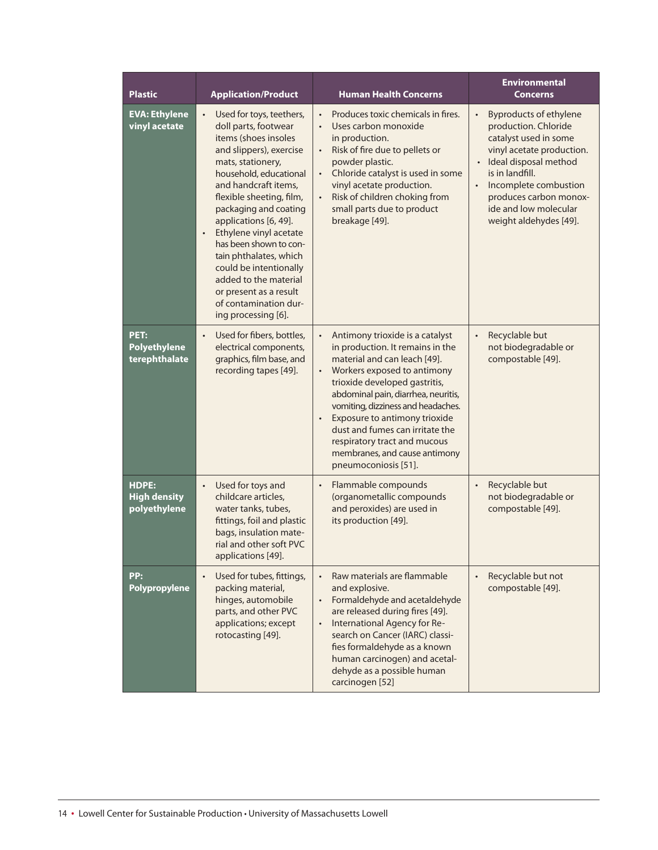| <b>Plastic</b>                               | <b>Application/Product</b>                                                                                                                                                                                                                                                                                                                                                                                                                                                                    | <b>Human Health Concerns</b>                                                                                                                                                                                                                                                                                                                                                                                               | <b>Environmental</b><br><b>Concerns</b>                                                                                                                                                                                                                                    |
|----------------------------------------------|-----------------------------------------------------------------------------------------------------------------------------------------------------------------------------------------------------------------------------------------------------------------------------------------------------------------------------------------------------------------------------------------------------------------------------------------------------------------------------------------------|----------------------------------------------------------------------------------------------------------------------------------------------------------------------------------------------------------------------------------------------------------------------------------------------------------------------------------------------------------------------------------------------------------------------------|----------------------------------------------------------------------------------------------------------------------------------------------------------------------------------------------------------------------------------------------------------------------------|
| <b>EVA: Ethylene</b><br>vinyl acetate        | Used for toys, teethers,<br>$\bullet$<br>doll parts, footwear<br>items (shoes insoles<br>and slippers), exercise<br>mats, stationery,<br>household, educational<br>and handcraft items,<br>flexible sheeting, film,<br>packaging and coating<br>applications [6, 49].<br>Ethylene vinyl acetate<br>$\bullet$<br>has been shown to con-<br>tain phthalates, which<br>could be intentionally<br>added to the material<br>or present as a result<br>of contamination dur-<br>ing processing [6]. | Produces toxic chemicals in fires.<br>Uses carbon monoxide<br>in production.<br>Risk of fire due to pellets or<br>$\bullet$<br>powder plastic.<br>Chloride catalyst is used in some<br>vinyl acetate production.<br>Risk of children choking from<br>small parts due to product<br>breakage [49].                                                                                                                          | <b>Byproducts of ethylene</b><br>production. Chloride<br>catalyst used in some<br>vinyl acetate production.<br>Ideal disposal method<br>$\bullet$<br>is in landfill.<br>Incomplete combustion<br>produces carbon monox-<br>ide and low molecular<br>weight aldehydes [49]. |
| PET:<br><b>Polyethylene</b><br>terephthalate | Used for fibers, bottles,<br>$\bullet$<br>electrical components,<br>graphics, film base, and<br>recording tapes [49].                                                                                                                                                                                                                                                                                                                                                                         | Antimony trioxide is a catalyst<br>in production. It remains in the<br>material and can leach [49].<br>Workers exposed to antimony<br>$\bullet$<br>trioxide developed gastritis,<br>abdominal pain, diarrhea, neuritis,<br>vomiting, dizziness and headaches.<br>Exposure to antimony trioxide<br>dust and fumes can irritate the<br>respiratory tract and mucous<br>membranes, and cause antimony<br>pneumoconiosis [51]. | Recyclable but<br>not biodegradable or<br>compostable [49].                                                                                                                                                                                                                |
| HDPE:<br><b>High density</b><br>polyethylene | Used for toys and<br>$\bullet$<br>childcare articles,<br>water tanks, tubes,<br>fittings, foil and plastic<br>bags, insulation mate-<br>rial and other soft PVC<br>applications [49].                                                                                                                                                                                                                                                                                                         | Flammable compounds<br>$\bullet$<br>(organometallic compounds<br>and peroxides) are used in<br>its production [49].                                                                                                                                                                                                                                                                                                        | Recyclable but<br>$\bullet$<br>not biodegradable or<br>compostable [49].                                                                                                                                                                                                   |
| PP:<br><b>Polypropylene</b>                  | Used for tubes, fittings,<br>$\bullet$<br>packing material,<br>hinges, automobile<br>parts, and other PVC<br>applications; except<br>rotocasting [49].                                                                                                                                                                                                                                                                                                                                        | Raw materials are flammable<br>$\bullet$<br>and explosive.<br>Formaldehyde and acetaldehyde<br>$\bullet$<br>are released during fires [49].<br>International Agency for Re-<br>$\bullet$<br>search on Cancer (IARC) classi-<br>fies formaldehyde as a known<br>human carcinogen) and acetal-<br>dehyde as a possible human<br>carcinogen [52]                                                                              | Recyclable but not<br>compostable [49].                                                                                                                                                                                                                                    |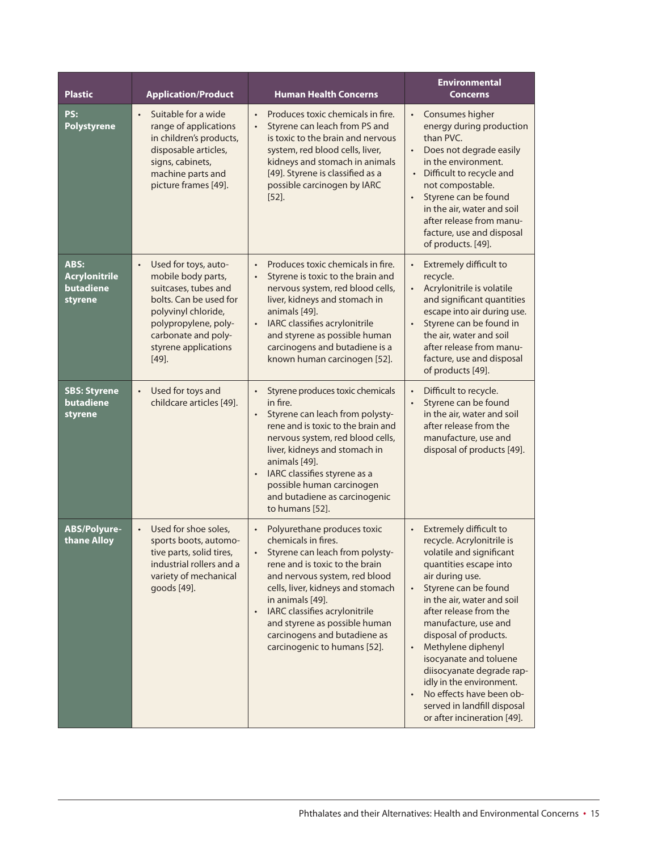| <b>Plastic</b>                                       | <b>Application/Product</b>                                                                                                                                                                                          | <b>Human Health Concerns</b>                                                                                                                                                                                                                                                                                                                                        | <b>Environmental</b><br><b>Concerns</b>                                                                                                                                                                                                                                                                                                                                                                                                                                                                 |
|------------------------------------------------------|---------------------------------------------------------------------------------------------------------------------------------------------------------------------------------------------------------------------|---------------------------------------------------------------------------------------------------------------------------------------------------------------------------------------------------------------------------------------------------------------------------------------------------------------------------------------------------------------------|---------------------------------------------------------------------------------------------------------------------------------------------------------------------------------------------------------------------------------------------------------------------------------------------------------------------------------------------------------------------------------------------------------------------------------------------------------------------------------------------------------|
| PS:<br>Polystyrene                                   | Suitable for a wide<br>$\bullet$<br>range of applications<br>in children's products,<br>disposable articles,<br>signs, cabinets,<br>machine parts and<br>picture frames [49].                                       | Produces toxic chemicals in fire.<br>Styrene can leach from PS and<br>$\bullet$<br>is toxic to the brain and nervous<br>system, red blood cells, liver,<br>kidneys and stomach in animals<br>[49]. Styrene is classified as a<br>possible carcinogen by IARC<br>$[52]$ .                                                                                            | Consumes higher<br>energy during production<br>than PVC.<br>Does not degrade easily<br>in the environment.<br>Difficult to recycle and<br>$\bullet$<br>not compostable.<br>Styrene can be found<br>$\bullet$<br>in the air, water and soil<br>after release from manu-<br>facture, use and disposal<br>of products. [49].                                                                                                                                                                               |
| ABS:<br><b>Acrylonitrile</b><br>butadiene<br>styrene | Used for toys, auto-<br>$\bullet$<br>mobile body parts,<br>suitcases, tubes and<br>bolts. Can be used for<br>polyvinyl chloride,<br>polypropylene, poly-<br>carbonate and poly-<br>styrene applications<br>$[49]$ . | Produces toxic chemicals in fire.<br>Styrene is toxic to the brain and<br>nervous system, red blood cells,<br>liver, kidneys and stomach in<br>animals [49].<br>IARC classifies acrylonitrile<br>$\bullet$<br>and styrene as possible human<br>carcinogens and butadiene is a<br>known human carcinogen [52].                                                       | Extremely difficult to<br>recycle.<br>Acrylonitrile is volatile<br>and significant quantities<br>escape into air during use.<br>Styrene can be found in<br>the air, water and soil<br>after release from manu-<br>facture, use and disposal<br>of products [49].                                                                                                                                                                                                                                        |
| <b>SBS: Styrene</b><br>butadiene<br>styrene          | Used for toys and<br>$\bullet$<br>childcare articles [49].                                                                                                                                                          | Styrene produces toxic chemicals<br>$\bullet$<br>in fire.<br>Styrene can leach from polysty-<br>$\bullet$<br>rene and is toxic to the brain and<br>nervous system, red blood cells,<br>liver, kidneys and stomach in<br>animals [49].<br>IARC classifies styrene as a<br>$\bullet$<br>possible human carcinogen<br>and butadiene as carcinogenic<br>to humans [52]. | Difficult to recycle.<br>$\bullet$<br>Styrene can be found<br>$\bullet$<br>in the air, water and soil<br>after release from the<br>manufacture, use and<br>disposal of products [49].                                                                                                                                                                                                                                                                                                                   |
| ABS/Polyure-<br>thane Alloy                          | Used for shoe soles,<br>$\bullet$<br>sports boots, automo-<br>tive parts, solid tires,<br>industrial rollers and a<br>variety of mechanical<br>goods [49].                                                          | Polyurethane produces toxic<br>chemicals in fires.<br>Styrene can leach from polysty-<br>rene and is toxic to the brain<br>and nervous system, red blood<br>cells, liver, kidneys and stomach<br>in animals [49].<br>IARC classifies acrylonitrile<br>and styrene as possible human<br>carcinogens and butadiene as<br>carcinogenic to humans [52].                 | Extremely difficult to<br>recycle. Acrylonitrile is<br>volatile and significant<br>quantities escape into<br>air during use.<br>Styrene can be found<br>$\bullet$<br>in the air, water and soil<br>after release from the<br>manufacture, use and<br>disposal of products.<br>Methylene diphenyl<br>$\bullet$<br>isocyanate and toluene<br>diisocyanate degrade rap-<br>idly in the environment.<br>No effects have been ob-<br>$\bullet$<br>served in landfill disposal<br>or after incineration [49]. |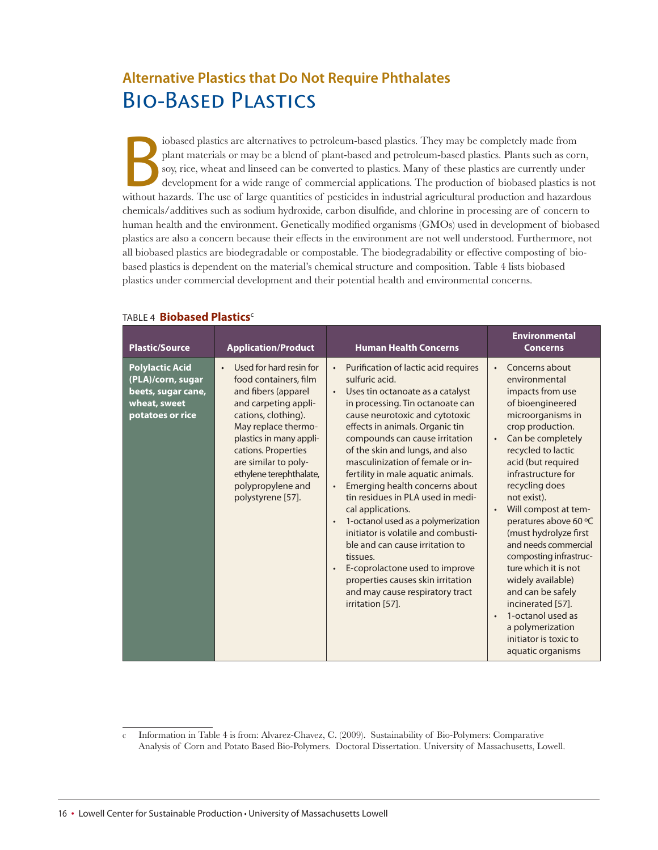### **Alternative Plastics that Do Not Require Phthalates** Bio-Based Plastics

biobased plastics are alternatives to petroleum-based plastics. They may be completely made from plant materials or may be a blend of plant-based and petroleum-based plastics. Plants such as corn, soy, rice, wheat and lins iobased plastics are alternatives to petroleum-based plastics. They may be completely made from plant materials or may be a blend of plant-based and petroleum-based plastics. Plants such as corn, soy, rice, wheat and linseed can be converted to plastics. Many of these plastics are currently under development for a wide range of commercial applications. The production of biobased plastics is not chemicals/additives such as sodium hydroxide, carbon disulfide, and chlorine in processing are of concern to human health and the environment. Genetically modified organisms (GMOs) used in development of biobased plastics are also a concern because their effects in the environment are not well understood. Furthermore, not all biobased plastics are biodegradable or compostable. The biodegradability or effective composting of biobased plastics is dependent on the material's chemical structure and composition. Table 4 lists biobased plastics under commercial development and their potential health and environmental concerns.

| <b>Plastic/Source</b>                                                                                 | <b>Application/Product</b>                                                                                                                                                                                                                                                                                | <b>Human Health Concerns</b>                                                                                                                                                                                                                                                                                                                                                                                                                                                                                                                                                                                                                                                                                                                                              | <b>Environmental</b><br><b>Concerns</b>                                                                                                                                                                                                                                                                                                                                                                                                                                                                                                                                                   |
|-------------------------------------------------------------------------------------------------------|-----------------------------------------------------------------------------------------------------------------------------------------------------------------------------------------------------------------------------------------------------------------------------------------------------------|---------------------------------------------------------------------------------------------------------------------------------------------------------------------------------------------------------------------------------------------------------------------------------------------------------------------------------------------------------------------------------------------------------------------------------------------------------------------------------------------------------------------------------------------------------------------------------------------------------------------------------------------------------------------------------------------------------------------------------------------------------------------------|-------------------------------------------------------------------------------------------------------------------------------------------------------------------------------------------------------------------------------------------------------------------------------------------------------------------------------------------------------------------------------------------------------------------------------------------------------------------------------------------------------------------------------------------------------------------------------------------|
| <b>Polylactic Acid</b><br>(PLA)/corn, sugar<br>beets, sugar cane,<br>wheat, sweet<br>potatoes or rice | Used for hard resin for<br>$\bullet$<br>food containers, film<br>and fibers (apparel<br>and carpeting appli-<br>cations, clothing).<br>May replace thermo-<br>plastics in many appli-<br>cations. Properties<br>are similar to poly-<br>ethylene terephthalate,<br>polypropylene and<br>polystyrene [57]. | Purification of lactic acid requires<br>$\bullet$<br>sulfuric acid.<br>Uses tin octanoate as a catalyst<br>$\bullet$<br>in processing. Tin octanoate can<br>cause neurotoxic and cytotoxic<br>effects in animals. Organic tin<br>compounds can cause irritation<br>of the skin and lungs, and also<br>masculinization of female or in-<br>fertility in male aquatic animals.<br>Emerging health concerns about<br>$\bullet$<br>tin residues in PLA used in medi-<br>cal applications.<br>1-octanol used as a polymerization<br>$\bullet$<br>initiator is volatile and combusti-<br>ble and can cause irritation to<br>tissues.<br>E-coprolactone used to improve<br>$\bullet$<br>properties causes skin irritation<br>and may cause respiratory tract<br>irritation [57]. | Concerns about<br>$\bullet$<br>environmental<br>impacts from use<br>of bioengineered<br>microorganisms in<br>crop production.<br>Can be completely<br>$\bullet$<br>recycled to lactic<br>acid (but required<br>infrastructure for<br>recycling does<br>not exist).<br>Will compost at tem-<br>peratures above 60 °C<br>(must hydrolyze first<br>and needs commercial<br>composting infrastruc-<br>ture which it is not<br>widely available)<br>and can be safely<br>incinerated [57].<br>1-octanol used as<br>$\bullet$<br>a polymerization<br>initiator is toxic to<br>aquatic organisms |

#### TAbLE 4 **Biobased Plastics**<sup>c</sup>

Information in Table 4 is from: Alvarez-Chavez, C. (2009). Sustainability of Bio-Polymers: Comparative Analysis of Corn and Potato Based Bio-Polymers. Doctoral Dissertation. University of Massachusetts, Lowell.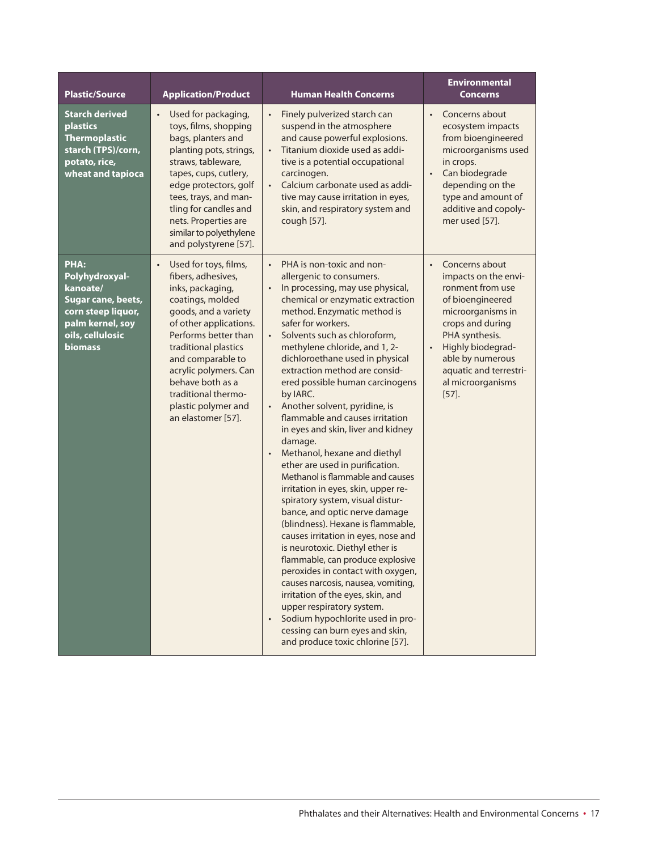| <b>Plastic/Source</b>                                                                                                                    | <b>Application/Product</b>                                                                                                                                                                                                                                                                                                               | <b>Human Health Concerns</b>                                                                                                                                                                                                                                                                                                                                                                                                                                                                                                                                                                                                                                                                                                                                                                                                                                                                                                                                                                                                                                                                                                                                                               | <b>Environmental</b><br><b>Concerns</b>                                                                                                                                                                                                                                 |
|------------------------------------------------------------------------------------------------------------------------------------------|------------------------------------------------------------------------------------------------------------------------------------------------------------------------------------------------------------------------------------------------------------------------------------------------------------------------------------------|--------------------------------------------------------------------------------------------------------------------------------------------------------------------------------------------------------------------------------------------------------------------------------------------------------------------------------------------------------------------------------------------------------------------------------------------------------------------------------------------------------------------------------------------------------------------------------------------------------------------------------------------------------------------------------------------------------------------------------------------------------------------------------------------------------------------------------------------------------------------------------------------------------------------------------------------------------------------------------------------------------------------------------------------------------------------------------------------------------------------------------------------------------------------------------------------|-------------------------------------------------------------------------------------------------------------------------------------------------------------------------------------------------------------------------------------------------------------------------|
| <b>Starch derived</b><br><b>plastics</b><br><b>Thermoplastic</b><br>starch (TPS)/corn,<br>potato, rice,<br>wheat and tapioca             | Used for packaging,<br>$\bullet$<br>toys, films, shopping<br>bags, planters and<br>planting pots, strings,<br>straws, tableware,<br>tapes, cups, cutlery,<br>edge protectors, golf<br>tees, trays, and man-<br>tling for candles and<br>nets. Properties are<br>similar to polyethylene<br>and polystyrene [57].                         | Finely pulverized starch can<br>$\bullet$<br>suspend in the atmosphere<br>and cause powerful explosions.<br>Titanium dioxide used as addi-<br>$\bullet$<br>tive is a potential occupational<br>carcinogen.<br>Calcium carbonate used as addi-<br>$\bullet$<br>tive may cause irritation in eyes,<br>skin, and respiratory system and<br>cough [57].                                                                                                                                                                                                                                                                                                                                                                                                                                                                                                                                                                                                                                                                                                                                                                                                                                        | Concerns about<br>$\bullet$<br>ecosystem impacts<br>from bioengineered<br>microorganisms used<br>in crops.<br>Can biodegrade<br>$\bullet$<br>depending on the<br>type and amount of<br>additive and copoly-<br>mer used [57].                                           |
| PHA:<br>Polyhydroxyal-<br>kanoate/<br>Sugar cane, beets,<br>corn steep liquor,<br>palm kernel, soy<br>oils, cellulosic<br><b>biomass</b> | Used for toys, films,<br>$\bullet$<br>fibers, adhesives,<br>inks, packaging,<br>coatings, molded<br>goods, and a variety<br>of other applications.<br>Performs better than<br>traditional plastics<br>and comparable to<br>acrylic polymers. Can<br>behave both as a<br>traditional thermo-<br>plastic polymer and<br>an elastomer [57]. | PHA is non-toxic and non-<br>$\bullet$<br>allergenic to consumers.<br>In processing, may use physical,<br>$\bullet$<br>chemical or enzymatic extraction<br>method. Enzymatic method is<br>safer for workers.<br>Solvents such as chloroform,<br>$\bullet$<br>methylene chloride, and 1, 2-<br>dichloroethane used in physical<br>extraction method are consid-<br>ered possible human carcinogens<br>by IARC.<br>Another solvent, pyridine, is<br>$\bullet$<br>flammable and causes irritation<br>in eyes and skin, liver and kidney<br>damage.<br>Methanol, hexane and diethyl<br>$\bullet$<br>ether are used in purification.<br>Methanol is flammable and causes<br>irritation in eyes, skin, upper re-<br>spiratory system, visual distur-<br>bance, and optic nerve damage<br>(blindness). Hexane is flammable,<br>causes irritation in eyes, nose and<br>is neurotoxic. Diethyl ether is<br>flammable, can produce explosive<br>peroxides in contact with oxygen,<br>causes narcosis, nausea, vomiting,<br>irritation of the eyes, skin, and<br>upper respiratory system.<br>Sodium hypochlorite used in pro-<br>cessing can burn eyes and skin,<br>and produce toxic chlorine [57]. | Concerns about<br>$\bullet$<br>impacts on the envi-<br>ronment from use<br>of bioengineered<br>microorganisms in<br>crops and during<br>PHA synthesis.<br>Highly biodegrad-<br>$\bullet$<br>able by numerous<br>aquatic and terrestri-<br>al microorganisms<br>$[57]$ . |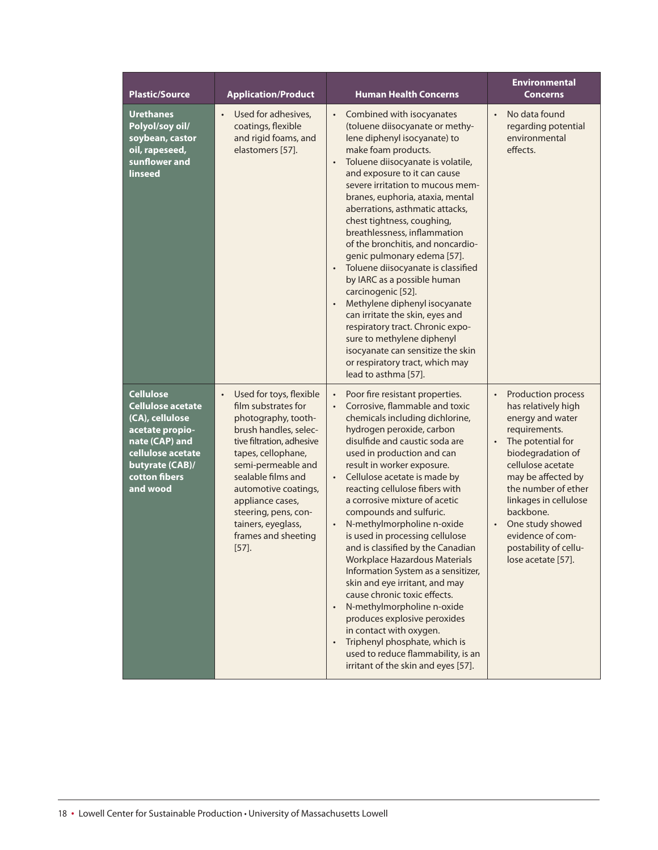| <b>Plastic/Source</b>                                                                                                                                              | <b>Application/Product</b>                                                                                                                                                                                                                                                                                                              | <b>Human Health Concerns</b>                                                                                                                                                                                                                                                                                                                                                                                                                                                                                                                                                                                                                                                                                                                                                                                                                                                                 | <b>Environmental</b><br><b>Concerns</b>                                                                                                                                                                                                                                                                                                                                          |
|--------------------------------------------------------------------------------------------------------------------------------------------------------------------|-----------------------------------------------------------------------------------------------------------------------------------------------------------------------------------------------------------------------------------------------------------------------------------------------------------------------------------------|----------------------------------------------------------------------------------------------------------------------------------------------------------------------------------------------------------------------------------------------------------------------------------------------------------------------------------------------------------------------------------------------------------------------------------------------------------------------------------------------------------------------------------------------------------------------------------------------------------------------------------------------------------------------------------------------------------------------------------------------------------------------------------------------------------------------------------------------------------------------------------------------|----------------------------------------------------------------------------------------------------------------------------------------------------------------------------------------------------------------------------------------------------------------------------------------------------------------------------------------------------------------------------------|
| <b>Urethanes</b><br>Polyol/soy oil/<br>soybean, castor<br>oil, rapeseed,<br>sunflower and<br>linseed                                                               | Used for adhesives,<br>$\bullet$<br>coatings, flexible<br>and rigid foams, and<br>elastomers [57].                                                                                                                                                                                                                                      | Combined with isocyanates<br>$\bullet$<br>(toluene diisocyanate or methy-<br>lene diphenyl isocyanate) to<br>make foam products.<br>Toluene diisocyanate is volatile,<br>and exposure to it can cause<br>severe irritation to mucous mem-<br>branes, euphoria, ataxia, mental<br>aberrations, asthmatic attacks,<br>chest tightness, coughing,<br>breathlessness, inflammation<br>of the bronchitis, and noncardio-<br>genic pulmonary edema [57].<br>Toluene diisocyanate is classified<br>$\bullet$<br>by IARC as a possible human<br>carcinogenic [52].<br>Methylene diphenyl isocyanate<br>can irritate the skin, eyes and<br>respiratory tract. Chronic expo-<br>sure to methylene diphenyl<br>isocyanate can sensitize the skin<br>or respiratory tract, which may<br>lead to asthma [57].                                                                                             | No data found<br>$\bullet$<br>regarding potential<br>environmental<br>effects.                                                                                                                                                                                                                                                                                                   |
| <b>Cellulose</b><br>Cellulose acetate<br>(CA), cellulose<br>acetate propio-<br>nate (CAP) and<br>cellulose acetate<br>butyrate (CAB)/<br>cotton fibers<br>and wood | Used for toys, flexible<br>$\bullet$<br>film substrates for<br>photography, tooth-<br>brush handles, selec-<br>tive filtration, adhesive<br>tapes, cellophane,<br>semi-permeable and<br>sealable films and<br>automotive coatings,<br>appliance cases,<br>steering, pens, con-<br>tainers, eyeglass,<br>frames and sheeting<br>$[57]$ . | Poor fire resistant properties.<br>$\bullet$<br>Corrosive, flammable and toxic<br>chemicals including dichlorine,<br>hydrogen peroxide, carbon<br>disulfide and caustic soda are<br>used in production and can<br>result in worker exposure.<br>Cellulose acetate is made by<br>$\bullet$<br>reacting cellulose fibers with<br>a corrosive mixture of acetic<br>compounds and sulfuric.<br>N-methylmorpholine n-oxide<br>$\bullet$<br>is used in processing cellulose<br>and is classified by the Canadian<br><b>Workplace Hazardous Materials</b><br>Information System as a sensitizer,<br>skin and eye irritant, and may<br>cause chronic toxic effects.<br>N-methylmorpholine n-oxide<br>$\bullet$<br>produces explosive peroxides<br>in contact with oxygen.<br>Triphenyl phosphate, which is<br>$\bullet$<br>used to reduce flammability, is an<br>irritant of the skin and eyes [57]. | <b>Production process</b><br>$\bullet$<br>has relatively high<br>energy and water<br>requirements.<br>The potential for<br>$\ddot{\phantom{0}}$<br>biodegradation of<br>cellulose acetate<br>may be affected by<br>the number of ether<br>linkages in cellulose<br>backbone.<br>One study showed<br>$\bullet$<br>evidence of com-<br>postability of cellu-<br>lose acetate [57]. |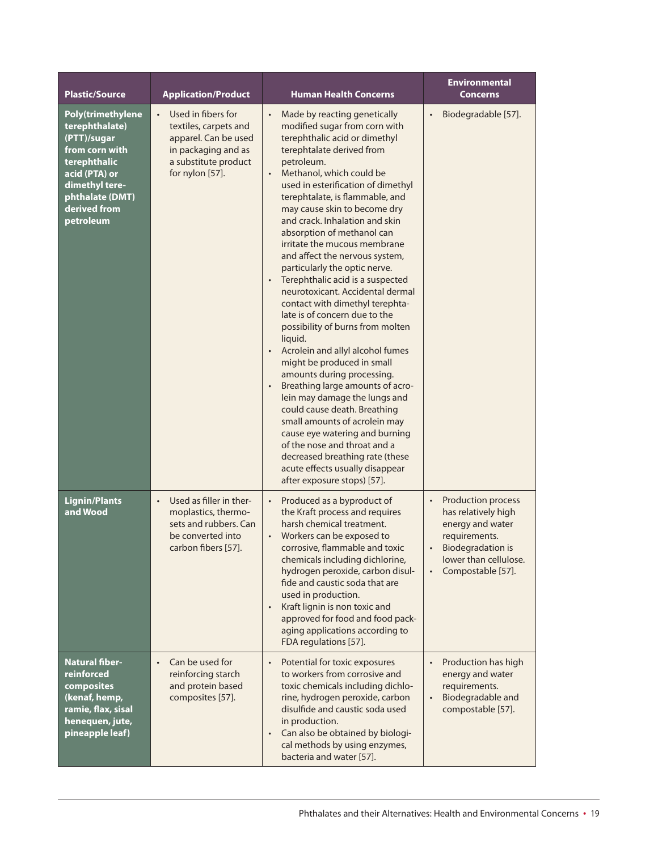| <b>Plastic/Source</b>                                                                                                                                                          | <b>Application/Product</b>                                                                                                                         | <b>Human Health Concerns</b>                                                                                                                                                                                                                                                                                                                                                                                                                                                                                                                                                                                                                                                                                                                                                                                                                                                                                                                                                                                                                                                                     | <b>Environmental</b><br>Concerns                                                                                                                                                                       |
|--------------------------------------------------------------------------------------------------------------------------------------------------------------------------------|----------------------------------------------------------------------------------------------------------------------------------------------------|--------------------------------------------------------------------------------------------------------------------------------------------------------------------------------------------------------------------------------------------------------------------------------------------------------------------------------------------------------------------------------------------------------------------------------------------------------------------------------------------------------------------------------------------------------------------------------------------------------------------------------------------------------------------------------------------------------------------------------------------------------------------------------------------------------------------------------------------------------------------------------------------------------------------------------------------------------------------------------------------------------------------------------------------------------------------------------------------------|--------------------------------------------------------------------------------------------------------------------------------------------------------------------------------------------------------|
| <b>Poly(trimethylene</b><br>terephthalate)<br>(PTT)/sugar<br>from corn with<br>terephthalic<br>acid (PTA) or<br>dimethyl tere-<br>phthalate (DMT)<br>derived from<br>petroleum | Used in fibers for<br>$\bullet$<br>textiles, carpets and<br>apparel. Can be used<br>in packaging and as<br>a substitute product<br>for nylon [57]. | Made by reacting genetically<br>$\bullet$<br>modified sugar from corn with<br>terephthalic acid or dimethyl<br>terephtalate derived from<br>petroleum.<br>Methanol, which could be<br>$\bullet$<br>used in esterification of dimethyl<br>terephtalate, is flammable, and<br>may cause skin to become dry<br>and crack. Inhalation and skin<br>absorption of methanol can<br>irritate the mucous membrane<br>and affect the nervous system,<br>particularly the optic nerve.<br>Terephthalic acid is a suspected<br>$\bullet$<br>neurotoxicant. Accidental dermal<br>contact with dimethyl terephta-<br>late is of concern due to the<br>possibility of burns from molten<br>liquid.<br>Acrolein and allyl alcohol fumes<br>might be produced in small<br>amounts during processing.<br>Breathing large amounts of acro-<br>lein may damage the lungs and<br>could cause death. Breathing<br>small amounts of acrolein may<br>cause eye watering and burning<br>of the nose and throat and a<br>decreased breathing rate (these<br>acute effects usually disappear<br>after exposure stops) [57]. | Biodegradable [57].<br>$\bullet$                                                                                                                                                                       |
| <b>Lignin/Plants</b><br>and Wood                                                                                                                                               | Used as filler in ther-<br>$\bullet$<br>moplastics, thermo-<br>sets and rubbers. Can<br>be converted into<br>carbon fibers [57].                   | Produced as a byproduct of<br>$\bullet$<br>the Kraft process and requires<br>harsh chemical treatment.<br>Workers can be exposed to<br>corrosive, flammable and toxic<br>chemicals including dichlorine,<br>hydrogen peroxide, carbon disul-<br>fide and caustic soda that are<br>used in production.<br>Kraft lignin is non toxic and<br>approved for food and food pack-<br>aging applications according to<br>FDA regulations [57].                                                                                                                                                                                                                                                                                                                                                                                                                                                                                                                                                                                                                                                           | <b>Production process</b><br>$\bullet$<br>has relatively high<br>energy and water<br>requirements.<br><b>Biodegradation is</b><br>$\bullet$<br>lower than cellulose.<br>Compostable [57].<br>$\bullet$ |
| Natural fiber-<br>reinforced<br>composites<br>(kenaf, hemp,<br>ramie, flax, sisal<br>henequen, jute,<br>pineapple leaf)                                                        | Can be used for<br>$\bullet$<br>reinforcing starch<br>and protein based<br>composites [57].                                                        | Potential for toxic exposures<br>$\bullet$<br>to workers from corrosive and<br>toxic chemicals including dichlo-<br>rine, hydrogen peroxide, carbon<br>disulfide and caustic soda used<br>in production.<br>Can also be obtained by biologi-<br>cal methods by using enzymes,<br>bacteria and water [57].                                                                                                                                                                                                                                                                                                                                                                                                                                                                                                                                                                                                                                                                                                                                                                                        | Production has high<br>energy and water<br>requirements.<br>Biodegradable and<br>compostable [57].                                                                                                     |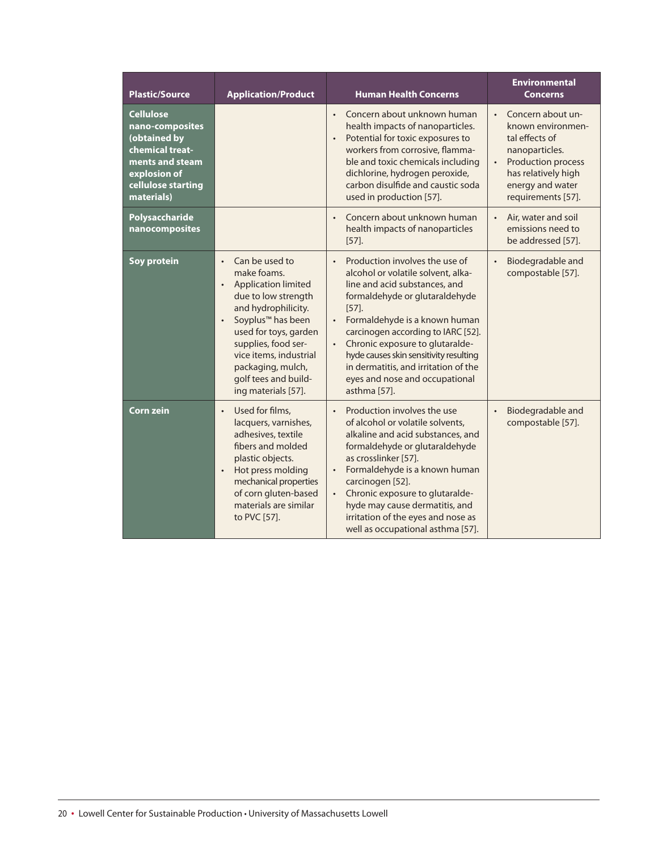| <b>Plastic/Source</b>                                                                                                                         | <b>Application/Product</b>                                                                                                                                                                                                                                                                                                      | <b>Human Health Concerns</b>                                                                                                                                                                                                                                                                                                                                                                                                | <b>Environmental</b><br><b>Concerns</b>                                                                                                                                        |
|-----------------------------------------------------------------------------------------------------------------------------------------------|---------------------------------------------------------------------------------------------------------------------------------------------------------------------------------------------------------------------------------------------------------------------------------------------------------------------------------|-----------------------------------------------------------------------------------------------------------------------------------------------------------------------------------------------------------------------------------------------------------------------------------------------------------------------------------------------------------------------------------------------------------------------------|--------------------------------------------------------------------------------------------------------------------------------------------------------------------------------|
| <b>Cellulose</b><br>nano-composites<br>(obtained by<br>chemical treat-<br>ments and steam<br>explosion of<br>cellulose starting<br>materials) |                                                                                                                                                                                                                                                                                                                                 | Concern about unknown human<br>$\bullet$<br>health impacts of nanoparticles.<br>Potential for toxic exposures to<br>$\bullet$<br>workers from corrosive, flamma-<br>ble and toxic chemicals including<br>dichlorine, hydrogen peroxide,<br>carbon disulfide and caustic soda<br>used in production [57].                                                                                                                    | Concern about un-<br>known environmen-<br>tal effects of<br>nanoparticles.<br>Production process<br>$\bullet$<br>has relatively high<br>energy and water<br>requirements [57]. |
| Polysaccharide<br>nanocomposites                                                                                                              |                                                                                                                                                                                                                                                                                                                                 | Concern about unknown human<br>health impacts of nanoparticles<br>$[57]$ .                                                                                                                                                                                                                                                                                                                                                  | $\bullet$<br>Air, water and soil<br>emissions need to<br>be addressed [57].                                                                                                    |
| Soy protein                                                                                                                                   | Can be used to<br>$\bullet$<br>make foams.<br><b>Application limited</b><br>$\bullet$<br>due to low strength<br>and hydrophilicity.<br>Soyplus <sup>™</sup> has been<br>$\bullet$<br>used for toys, garden<br>supplies, food ser-<br>vice items, industrial<br>packaging, mulch,<br>golf tees and build-<br>ing materials [57]. | Production involves the use of<br>$\bullet$<br>alcohol or volatile solvent, alka-<br>line and acid substances, and<br>formaldehyde or glutaraldehyde<br>$[57]$ .<br>Formaldehyde is a known human<br>$\bullet$<br>carcinogen according to IARC [52].<br>Chronic exposure to glutaralde-<br>hyde causes skin sensitivity resulting<br>in dermatitis, and irritation of the<br>eyes and nose and occupational<br>asthma [57]. | Biodegradable and<br>$\bullet$<br>compostable [57].                                                                                                                            |
| <b>Corn zein</b>                                                                                                                              | Used for films,<br>$\bullet$<br>lacquers, varnishes,<br>adhesives, textile<br>fibers and molded<br>plastic objects.<br>Hot press molding<br>$\bullet$<br>mechanical properties<br>of corn gluten-based<br>materials are similar<br>to PVC [57].                                                                                 | Production involves the use<br>$\bullet$<br>of alcohol or volatile solvents,<br>alkaline and acid substances, and<br>formaldehyde or glutaraldehyde<br>as crosslinker [57].<br>Formaldehyde is a known human<br>carcinogen [52].<br>Chronic exposure to glutaralde-<br>hyde may cause dermatitis, and<br>irritation of the eyes and nose as<br>well as occupational asthma [57].                                            | Biodegradable and<br>$\bullet$<br>compostable [57].                                                                                                                            |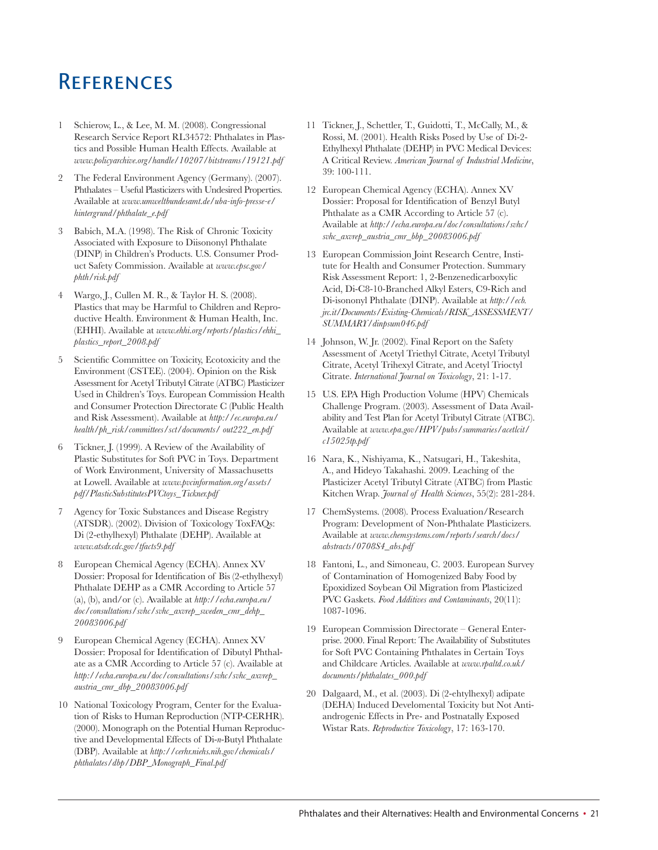### **REFERENCES**

- 1 Schierow, L., & Lee, M. M. (2008). Congressional Research Service Report RL34572: Phthalates in Plastics and Possible Human Health Effects. Available at *www.policyarchive.org/handle/10207/bitstreams/19121.pdf*
- 2 The Federal Environment Agency (Germany). (2007). Phthalates – Useful Plasticizers with Undesired Properties. Available at *www.umweltbundesamt.de/uba-info-presse-e/ hintergrund/phthalate\_e.pdf*
- 3 Babich, M.A. (1998). The Risk of Chronic Toxicity Associated with Exposure to Diisononyl Phthalate (DINP) in Children's Products. U.S. Consumer Product Safety Commission. Available at *www.cpsc.gov/ phth/risk.pdf*
- 4 Wargo, J., Cullen M. R., & Taylor H. S. (2008). Plastics that may be Harmful to Children and Reproductive Health. Environment & Human Health, Inc. (EHHI). Available at *www.ehhi.org/reports/plastics/ehhi\_ plastics\_report\_2008.pdf*
- 5 Scientific Committee on Toxicity, Ecotoxicity and the Environment (CSTEE). (2004). Opinion on the Risk Assessment for Acetyl Tributyl Citrate (ATBC) Plasticizer Used in Children's Toys. European Commission Health and Consumer Protection Directorate C (Public Health and Risk Assessment). Available at *http://ec.europa.eu/ health/ph\_risk/committees/sct/documents/ out222\_en.pdf*
- 6 Tickner, J. (1999). A Review of the Availability of Plastic Substitutes for Soft PVC in Toys. Department of Work Environment, University of Massachusetts at Lowell. Available at *www.pvcinformation.org/assets/ pdf/PlasticSubstitutesPVCtoys\_Tickner.pdf*
- 7 Agency for Toxic Substances and Disease Registry (ATSDR). (2002). Division of Toxicology ToxFAQs: Di (2-ethylhexyl) Phthalate (DEHP). Available at *www.atsdr.cdc.gov/tfacts9.pdf*
- 8 European Chemical Agency (ECHA). Annex XV Dossier: Proposal for Identification of Bis (2-ethylhexyl) Phthalate DEHP as a CMR According to Article 57 (a), (b), and/or (c). Available at *http://echa.europa.eu/ doc/consultations/svhc/svhc\_axvrep\_sweden\_cmr\_dehp\_ 20083006.pdf*
- 9 European Chemical Agency (ECHA). Annex XV Dossier: Proposal for Identification of Dibutyl Phthalate as a CMR According to Article 57 (c). Available at *http://echa.europa.eu/doc/consultations/svhc/svhc\_axvrep\_ austria\_cmr\_dbp\_20083006.pdf*
- 10 National Toxicology Program, Center for the Evaluation of Risks to Human Reproduction (NTP-CERHR). (2000). Monograph on the Potential Human Reproductive and Developmental Effects of Di-*n*-Butyl Phthalate (DBP). Available at *http://cerhr.niehs.nih.gov/chemicals/ phthalates/dbp/DBP\_Monograph\_Final.pdf*
- 11 Tickner, J., Schettler, T., Guidotti, T., McCally, M., & Rossi, M. (2001). Health Risks Posed by Use of Di-2- Ethylhexyl Phthalate (DEHP) in PVC Medical Devices: A Critical Review. *American Journal of Industrial Medicine*, 39: 100-111.
- 12 European Chemical Agency (ECHA). Annex XV Dossier: Proposal for Identification of Benzyl Butyl Phthalate as a CMR According to Article 57 (c). Available at *http://echa.europa.eu/doc/consultations/svhc/ svhc\_axvrep\_austria\_cmr\_bbp\_20083006.pdf*
- 13 European Commission Joint Research Centre, Institute for Health and Consumer Protection. Summary Risk Assessment Report: 1, 2-Benzenedicarboxylic Acid, Di-C8-10-Branched Alkyl Esters, C9-Rich and Di-isononyl Phthalate (DINP). Available at *http://ecb. jrc.it/Documents/Existing-Chemicals/RISK\_ASSESSMENT/ SUMMARY/dinpsum046.pdf*
- 14 Johnson, W. Jr. (2002). Final Report on the Safety Assessment of Acetyl Triethyl Citrate, Acetyl Tributyl Citrate, Acetyl Trihexyl Citrate, and Acetyl Trioctyl Citrate. *International Journal on Toxicology*, 21: 1-17.
- 15 U.S. EPA High Production Volume (HPV) Chemicals Challenge Program. (2003). Assessment of Data Availability and Test Plan for Acetyl Tributyl Citrate (ATBC). Available at *www.epa.gov/HPV/pubs/summaries/acetlcit/ c15025tp.pdf*
- 16 Nara, K., Nishiyama, K., Natsugari, H., Takeshita, A., and Hideyo Takahashi. 2009. Leaching of the Plasticizer Acetyl Tributyl Citrate (ATBC) from Plastic Kitchen Wrap. *Journal of Health Sciences*, 55(2): 281-284.
- 17 ChemSystems. (2008). Process Evaluation/Research Program: Development of Non-Phthalate Plasticizers. Available at *www.chemsystems.com/reports/search/docs/ abstracts/0708S4\_abs.pdf*
- 18 Fantoni, L., and Simoneau, C. 2003. European Survey of Contamination of Homogenized Baby Food by Epoxidized Soybean Oil Migration from Plasticized PVC Gaskets. *Food Additives and Contaminants*, 20(11): 1087-1096.
- 19 European Commission Directorate General Enterprise. 2000. Final Report: The Availability of Substitutes for Soft PVC Containing Phthalates in Certain Toys and Childcare Articles. Available at *www.rpaltd.co.uk/ documents/phthalates\_000.pdf*
- 20 Dalgaard, M., et al. (2003). Di (2-ehtylhexyl) adipate (DEHA) Induced Develomental Toxicity but Not Antiandrogenic Effects in Pre- and Postnatally Exposed Wistar Rats. *Reproductive Toxicology*, 17: 163-170.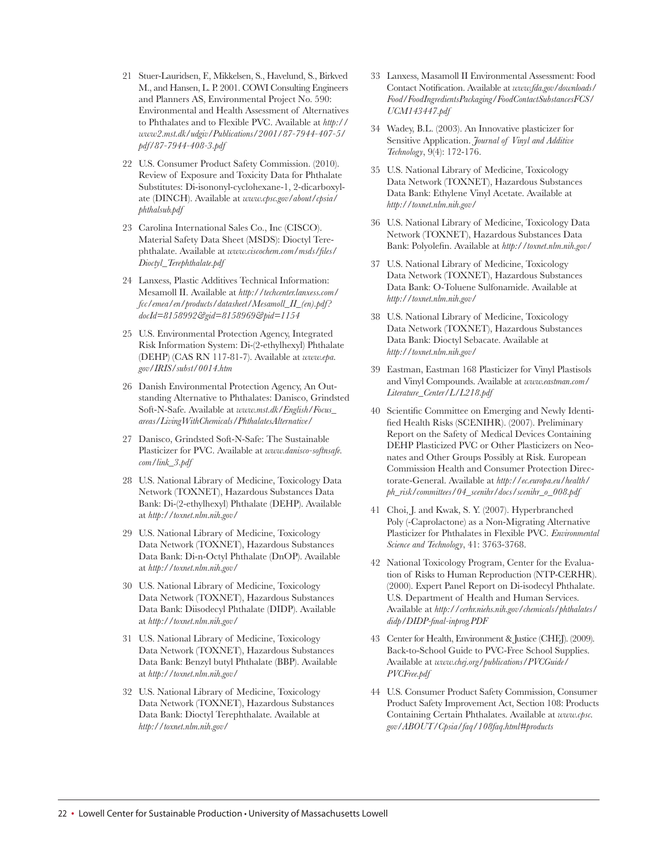- 21 Stuer-Lauridsen, F., Mikkelsen, S., Havelund, S., Birkved M., and Hansen, L. P. 2001. COWI Consulting Engineers and Planners AS, Environmental Project No. 590: Environmental and Health Assessment of Alternatives to Phthalates and to Flexible PVC. Available at *http:// www2.mst.dk/udgiv/Publications/2001/87-7944-407-5/ pdf/87-7944-408-3.pdf*
- 22 U.S. Consumer Product Safety Commission. (2010). Review of Exposure and Toxicity Data for Phthalate Substitutes: Di-isononyl-cyclohexane-1, 2-dicarboxylate (DINCH). Available at *www.cpsc.gov/about/cpsia/ phthalsub.pdf*
- 23 Carolina International Sales Co., Inc (CISCO). Material Safety Data Sheet (MSDS): Dioctyl Terephthalate. Available at *www.ciscochem.com/msds/files/ Dioctyl\_Terephthalate.pdf*
- 24 Lanxess, Plastic Additives Technical Information: Mesamoll II. Available at *http://techcenter.lanxess.com/ fcc/emea/en/products/datasheet/Mesamoll\_II\_(en).pdf? docId=8158992&gid=8158969&pid=1154*
- 25 U.S. Environmental Protection Agency, Integrated Risk Information System: Di-(2-ethylhexyl) Phthalate (DEHP) (CAS RN 117-81-7). Available at *www.epa. gov/IRIS/subst/0014.htm*
- 26 Danish Environmental Protection Agency, An Outstanding Alternative to Phthalates: Danisco, Grindsted Soft-N-Safe. Available at *www.mst.dk/English/Focus\_ areas/LivingWithChemicals/PhthalatesAlternative/*
- 27 Danisco, Grindsted Soft-N-Safe: The Sustainable Plasticizer for PVC. Available at *www.danisco-softnsafe. com/link\_3.pdf*
- 28 U.S. National Library of Medicine, Toxicology Data Network (TOXNET), Hazardous Substances Data Bank: Di-(2-ethylhexyl) Phthalate (DEHP). Available at *http://toxnet.nlm.nih.gov/*
- 29 U.S. National Library of Medicine, Toxicology Data Network (TOXNET), Hazardous Substances Data Bank: Di-n-Octyl Phthalate (DnOP). Available at *http://toxnet.nlm.nih.gov/*
- 30 U.S. National Library of Medicine, Toxicology Data Network (TOXNET), Hazardous Substances Data Bank: Diisodecyl Phthalate (DIDP). Available at *http://toxnet.nlm.nih.gov/*
- 31 U.S. National Library of Medicine, Toxicology Data Network (TOXNET), Hazardous Substances Data Bank: Benzyl butyl Phthalate (BBP). Available at *http://toxnet.nlm.nih.gov/*
- 32 U.S. National Library of Medicine, Toxicology Data Network (TOXNET), Hazardous Substances Data Bank: Dioctyl Terephthalate. Available at *http://toxnet.nlm.nih.gov/*
- 33 Lanxess, Masamoll II Environmental Assessment: Food Contact Notification. Available at *www.fda.gov/downloads/ Food/FoodIngredientsPackaging/FoodContactSubstancesFCS/ UCM143447.pdf*
- 34 Wadey, B.L. (2003). An Innovative plasticizer for Sensitive Application. *Journal of Vinyl and Additive Technology*, 9(4): 172-176.
- 35 U.S. National Library of Medicine, Toxicology Data Network (TOXNET), Hazardous Substances Data Bank: Ethylene Vinyl Acetate. Available at *http://toxnet.nlm.nih.gov/*
- 36 U.S. National Library of Medicine, Toxicology Data Network (TOXNET), Hazardous Substances Data Bank: Polyolefin. Available at *http://toxnet.nlm.nih.gov/*
- 37 U.S. National Library of Medicine, Toxicology Data Network (TOXNET), Hazardous Substances Data Bank: O-Toluene Sulfonamide. Available at *http://toxnet.nlm.nih.gov/*
- 38 U.S. National Library of Medicine, Toxicology Data Network (TOXNET), Hazardous Substances Data Bank: Dioctyl Sebacate. Available at *http://toxnet.nlm.nih.gov/*
- 39 Eastman, Eastman 168 Plasticizer for Vinyl Plastisols and Vinyl Compounds. Available at *www.eastman.com/ Literature\_Center/L/L218.pdf*
- 40 Scientific Committee on Emerging and Newly Identified Health Risks (SCENIHR). (2007). Preliminary Report on the Safety of Medical Devices Containing DEHP Plasticized PVC or Other Plasticizers on Neonates and Other Groups Possibly at Risk. European Commission Health and Consumer Protection Directorate-General. Available at *http://ec.europa.eu/health/ ph\_risk/committees/04\_scenihr/docs/scenihr\_o\_008.pdf*
- 41 Choi, J. and Kwak, S. Y. (2007). Hyperbranched Poly (-Caprolactone) as a Non-Migrating Alternative Plasticizer for Phthalates in Flexible PVC. *Environmental Science and Technology*, 41: 3763-3768.
- 42 National Toxicology Program, Center for the Evaluation of Risks to Human Reproduction (NTP-CERHR). (2000). Expert Panel Report on Di-isodecyl Phthalate. U.S. Department of Health and Human Services. Available at *http://cerhr.niehs.nih.gov/chemicals/phthalates/ didp/DIDP-final-inprog.PDF*
- 43 Center for Health, Environment & Justice (CHEJ). (2009). Back-to-School Guide to PVC-Free School Supplies. Available at *www.chej.org/publications/PVCGuide/ PVCFree.pdf*
- 44 U.S. Consumer Product Safety Commission, Consumer Product Safety Improvement Act, Section 108: Products Containing Certain Phthalates. Available at *www.cpsc. gov/ABOUT/Cpsia/faq/108faq.html#products*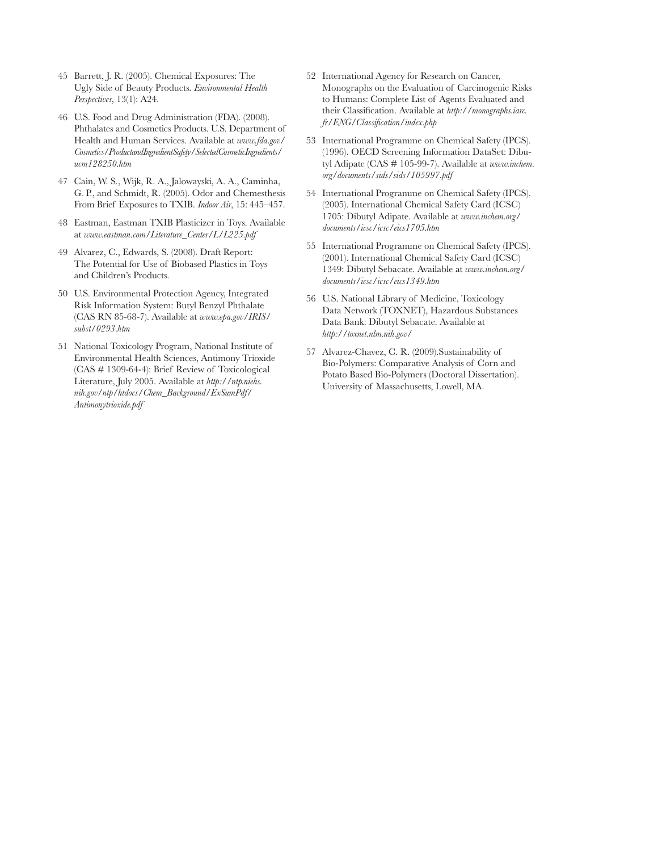- 45 Barrett, J. R. (2005). Chemical Exposures: The Ugly Side of Beauty Products. *Environmental Health Perspectives*, 13(1): A24.
- 46 U.S. Food and Drug Administration (FDA). (2008). Phthalates and Cosmetics Products. U.S. Department of Health and Human Services. Available at *www.fda.gov/ Cosmetics/ProductandIngredientSafety/SelectedCosmeticIngredients/ ucm128250.htm*
- 47 Cain, W. S., Wijk, R. A., Jalowayski, A. A., Caminha, G. P., and Schmidt, R. (2005). Odor and Chemesthesis From Brief Exposures to TXIB. *Indoor Air*, 15: 445–457.
- 48 Eastman, Eastman TXIB Plasticizer in Toys. Available at *www.eastman.com/Literature\_Center/L/L225.pdf*
- 49 Alvarez, C., Edwards, S. (2008). Draft Report: The Potential for Use of Biobased Plastics in Toys and Children's Products.
- 50 U.S. Environmental Protection Agency, Integrated Risk Information System: Butyl Benzyl Phthalate (CAS RN 85-68-7). Available at *www.epa.gov/IRIS/ subst/0293.htm*
- 51 National Toxicology Program, National Institute of Environmental Health Sciences, Antimony Trioxide (CAS # 1309-64-4): Brief Review of Toxicological Literature, July 2005. Available at *http://ntp.niehs. nih.gov/ntp/htdocs/Chem\_Background/ExSumPdf/ Antimonytrioxide.pdf*
- 52 International Agency for Research on Cancer, Monographs on the Evaluation of Carcinogenic Risks to Humans: Complete List of Agents Evaluated and their Classification. Available at *http://monographs.iarc. fr/ENG/Classification/index.php*
- 53 International Programme on Chemical Safety (IPCS). (1996). OECD Screening Information DataSet: Dibutyl Adipate (CAS # 105-99-7). Available at *www.inchem. org/documents/sids/sids/105997.pdf*
- 54 International Programme on Chemical Safety (IPCS). (2005). International Chemical Safety Card (ICSC) 1705: Dibutyl Adipate. Available at *www.inchem.org/ documents/icsc/icsc/eics1705.htm*
- 55 International Programme on Chemical Safety (IPCS). (2001). International Chemical Safety Card (ICSC) 1349: Dibutyl Sebacate. Available at *www.inchem.org/ documents/icsc/icsc/eics1349.htm*
- 56 U.S. National Library of Medicine, Toxicology Data Network (TOXNET), Hazardous Substances Data Bank: Dibutyl Sebacate. Available at *http://toxnet.nlm.nih.gov/*
- 57 Alvarez-Chavez, C. R. (2009).Sustainability of Bio-Polymers: Comparative Analysis of Corn and Potato Based Bio-Polymers (Doctoral Dissertation). University of Massachusetts, Lowell, MA.